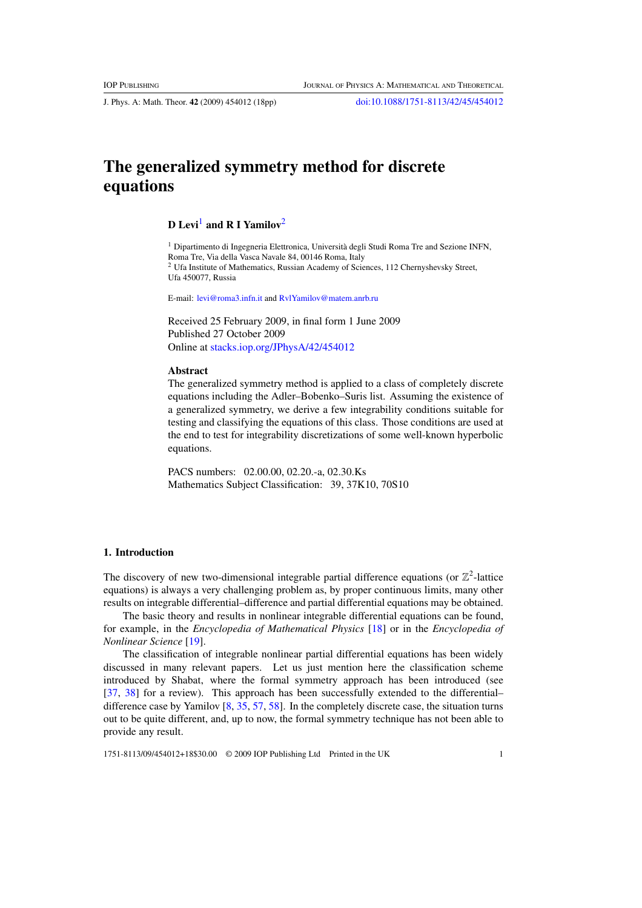J. Phys. A: Math. Theor. **42** (2009) 454012 (18pp) [doi:10.1088/1751-8113/42/45/454012](http://dx.doi.org/10.1088/1751-8113/42/45/454012)

# **The generalized symmetry method for discrete equations**

# **D Levi<sup>1</sup>** and **R** I Yamilov<sup>2</sup>

<sup>1</sup> Dipartimento di Ingegneria Elettronica, Università degli Studi Roma Tre and Sezione INFN, Roma Tre, Via della Vasca Navale 84, 00146 Roma, Italy <sup>2</sup> Ufa Institute of Mathematics, Russian Academy of Sciences, 112 Chernyshevsky Street, Ufa 450077, Russia

E-mail: [levi@roma3.infn.it](mailto:levi@roma3.infn.it) and [RvlYamilov@matem.anrb.ru](mailto:RvlYamilov@matem.anrb.ru)

Received 25 February 2009, in final form 1 June 2009 Published 27 October 2009 Online at [stacks.iop.org/JPhysA/42/454012](http://stacks.iop.org/JPhysA/42/454012)

### **Abstract**

The generalized symmetry method is applied to a class of completely discrete equations including the Adler–Bobenko–Suris list. Assuming the existence of a generalized symmetry, we derive a few integrability conditions suitable for testing and classifying the equations of this class. Those conditions are used at the end to test for integrability discretizations of some well-known hyperbolic equations.

PACS numbers: 02.00.00, 02.20.-a, 02.30.Ks Mathematics Subject Classification: 39, 37K10, 70S10

#### **1. Introduction**

The discovery of new two-dimensional integrable partial difference equations (or  $\mathbb{Z}^2$ -lattice equations) is always a very challenging problem as, by proper continuous limits, many other results on integrable differential–difference and partial differential equations may be obtained.

The basic theory and results in nonlinear integrable differential equations can be found, for example, in the *Encyclopedia of Mathematical Physics* [\[18\]](#page-16-0) or in the *Encyclopedia of Nonlinear Science* [\[19](#page-16-0)].

The classification of integrable nonlinear partial differential equations has been widely discussed in many relevant papers. Let us just mention here the classification scheme introduced by Shabat, where the formal symmetry approach has been introduced (see [\[37](#page-17-0), [38\]](#page-17-0) for a review). This approach has been successfully extended to the differential– difference case by Yamilov [\[8,](#page-15-0) [35](#page-17-0), [57](#page-17-0), [58](#page-17-0)]. In the completely discrete case, the situation turns out to be quite different, and, up to now, the formal symmetry technique has not been able to provide any result.

1751-8113/09/454012+18\$30.00 © 2009 IOP Publishing Ltd Printed in the UK 1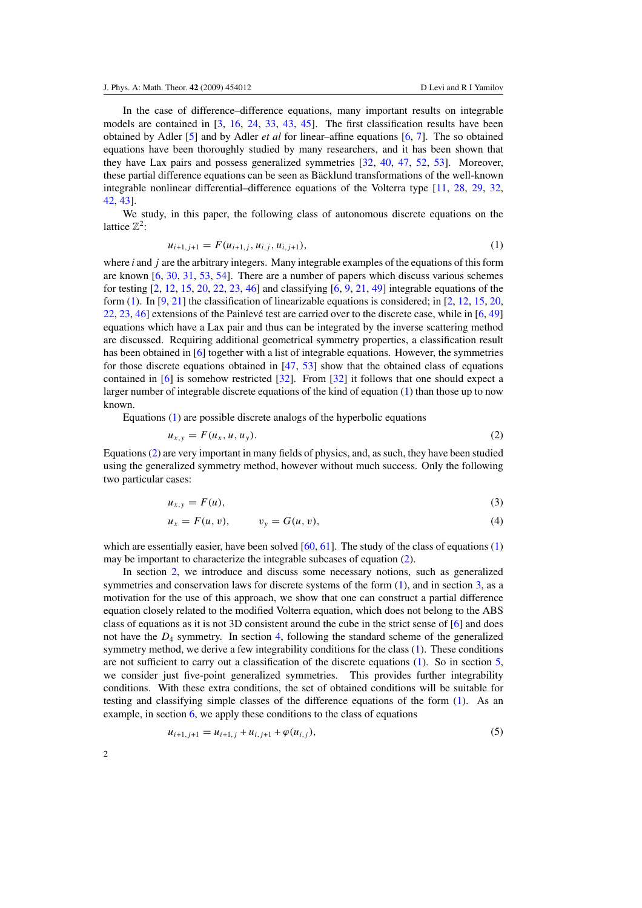<span id="page-1-0"></span>In the case of difference–difference equations, many important results on integrable models are contained in [\[3](#page-15-0), [16,](#page-16-0) [24](#page-16-0), [33,](#page-16-0) [43](#page-17-0), [45\]](#page-17-0). The first classification results have been obtained by Adler [\[5](#page-15-0)] and by Adler *et al* for linear–affine equations [\[6](#page-15-0), [7\]](#page-15-0). The so obtained equations have been thoroughly studied by many researchers, and it has been shown that they have Lax pairs and possess generalized symmetries [\[32,](#page-16-0) [40,](#page-17-0) [47](#page-17-0), [52,](#page-17-0) [53](#page-17-0)]. Moreover, these partial difference equations can be seen as Bäcklund transformations of the well-known integrable nonlinear differential–difference equations of the Volterra type [\[11](#page-16-0), [28,](#page-16-0) [29](#page-16-0), [32](#page-16-0), [42,](#page-17-0) [43\]](#page-17-0).

We study, in this paper, the following class of autonomous discrete equations on the lattice  $\mathbb{Z}^2$ :

$$
u_{i+1,j+1} = F(u_{i+1,j}, u_{i,j}, u_{i,j+1}),
$$
\n(1)

where *i* and *j* are the arbitrary integers. Many integrable examples of the equations of this form are known [\[6,](#page-15-0) [30](#page-16-0), [31,](#page-16-0) [53,](#page-17-0) [54](#page-17-0)]. There are a number of papers which discuss various schemes for testing [\[2,](#page-15-0) [12,](#page-16-0) [15,](#page-16-0) [20,](#page-16-0) [22,](#page-16-0) [23,](#page-16-0) [46\]](#page-17-0) and classifying [\[6,](#page-15-0) [9,](#page-16-0) [21,](#page-16-0) [49\]](#page-17-0) integrable equations of the form (1). In [\[9](#page-16-0), [21](#page-16-0)] the classification of linearizable equations is considered; in [\[2,](#page-15-0) [12](#page-16-0), [15](#page-16-0), [20](#page-16-0), [22,](#page-16-0) [23,](#page-16-0) [46](#page-17-0)] extensions of the Painlevé test are carried over to the discrete case, while in  $[6, 49]$  $[6, 49]$  $[6, 49]$  $[6, 49]$  $[6, 49]$ equations which have a Lax pair and thus can be integrated by the inverse scattering method are discussed. Requiring additional geometrical symmetry properties, a classification result has been obtained in [\[6](#page-15-0)] together with a list of integrable equations. However, the symmetries for those discrete equations obtained in [\[47](#page-17-0), [53](#page-17-0)] show that the obtained class of equations contained in [\[6](#page-15-0)] is somehow restricted [\[32\]](#page-16-0). From [\[32\]](#page-16-0) it follows that one should expect a larger number of integrable discrete equations of the kind of equation (1) than those up to now known.

Equations (1) are possible discrete analogs of the hyperbolic equations

$$
u_{x,y} = F(u_x, u, u_y). \tag{2}
$$

Equations (2) are very important in many fields of physics, and, as such, they have been studied using the generalized symmetry method, however without much success. Only the following two particular cases:

$$
u_{x,y} = F(u),\tag{3}
$$

$$
u_x = F(u, v), \qquad v_y = G(u, v), \tag{4}
$$

which are essentially easier, have been solved  $[60, 61]$  $[60, 61]$  $[60, 61]$ . The study of the class of equations (1) may be important to characterize the integrable subcases of equation (2).

In section [2,](#page-2-0) we introduce and discuss some necessary notions, such as generalized symmetries and conservation laws for discrete systems of the form (1), and in section [3,](#page-4-0) as a motivation for the use of this approach, we show that one can construct a partial difference equation closely related to the modified Volterra equation, which does not belong to the ABS class of equations as it is not 3D consistent around the cube in the strict sense of [\[6\]](#page-15-0) and does not have the  $D_4$  symmetry. In section [4,](#page-6-0) following the standard scheme of the generalized symmetry method, we derive a few integrability conditions for the class (1). These conditions are not sufficient to carry out a classification of the discrete equations (1). So in section [5,](#page-9-0) we consider just five-point generalized symmetries. This provides further integrability conditions. With these extra conditions, the set of obtained conditions will be suitable for testing and classifying simple classes of the difference equations of the form (1). As an example, in section [6,](#page-11-0) we apply these conditions to the class of equations

$$
u_{i+1,j+1} = u_{i+1,j} + u_{i,j+1} + \varphi(u_{i,j}),
$$
\n(5)

 $\mathfrak{Z}$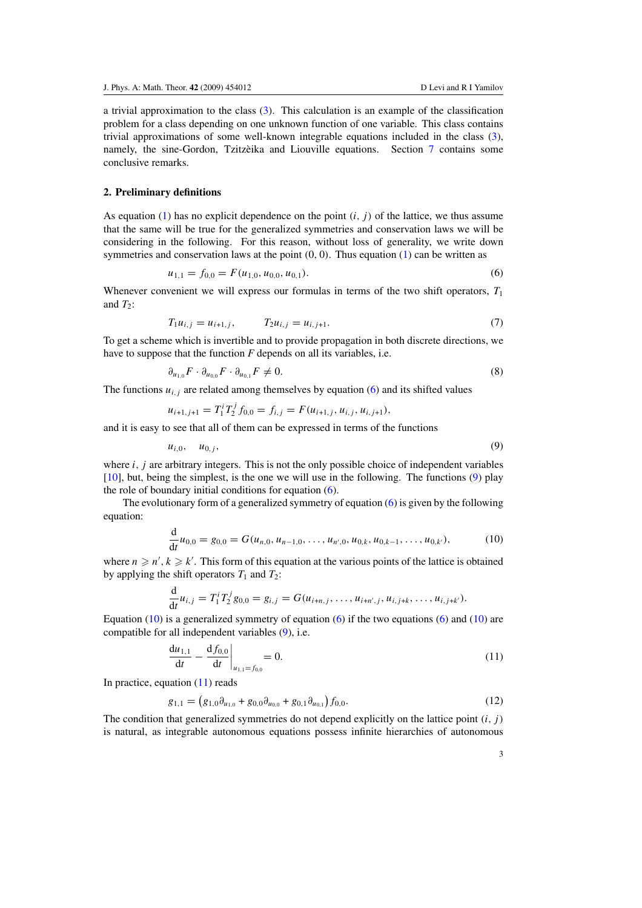<span id="page-2-0"></span>a trivial approximation to the class [\(3\)](#page-1-0). This calculation is an example of the classification problem for a class depending on one unknown function of one variable. This class contains trivial approximations of some well-known integrable equations included in the class [\(3\)](#page-1-0), namely, the sine-Gordon, Tzitzèika and Liouville equations. Section  $\frac{7}{7}$  $\frac{7}{7}$  $\frac{7}{7}$  contains some conclusive remarks.

#### **2. Preliminary definitions**

As equation [\(1\)](#page-1-0) has no explicit dependence on the point  $(i, j)$  of the lattice, we thus assume that the same will be true for the generalized symmetries and conservation laws we will be considering in the following. For this reason, without loss of generality, we write down symmetries and conservation laws at the point *(*0*,* 0*)*. Thus equation [\(1\)](#page-1-0) can be written as

$$
u_{1,1} = f_{0,0} = F(u_{1,0}, u_{0,0}, u_{0,1}).
$$
\n<sup>(6)</sup>

Whenever convenient we will express our formulas in terms of the two shift operators,  $T_1$ and  $T_2$ :

$$
T_1 u_{i,j} = u_{i+1,j}, \qquad T_2 u_{i,j} = u_{i,j+1}.
$$
 (7)

To get a scheme which is invertible and to provide propagation in both discrete directions, we have to suppose that the function  $F$  depends on all its variables, i.e.

$$
\partial_{u_{1,0}} F \cdot \partial_{u_{0,0}} F \cdot \partial_{u_{0,1}} F \neq 0. \tag{8}
$$

The functions  $u_{i,j}$  are related among themselves by equation (6) and its shifted values

$$
u_{i+1,j+1} = T_1^i T_2^j f_{0,0} = f_{i,j} = F(u_{i+1,j}, u_{i,j}, u_{i,j+1}),
$$

and it is easy to see that all of them can be expressed in terms of the functions

$$
u_{i,0}, \quad u_{0,j}, \tag{9}
$$

where *i*, *j* are arbitrary integers. This is not the only possible choice of independent variables [\[10](#page-16-0)], but, being the simplest, is the one we will use in the following. The functions (9) play the role of boundary initial conditions for equation (6).

The evolutionary form of a generalized symmetry of equation (6) is given by the following equation:

$$
\frac{d}{dt}u_{0,0} = g_{0,0} = G(u_{n,0}, u_{n-1,0}, \dots, u_{n',0}, u_{0,k}, u_{0,k-1}, \dots, u_{0,k'}),
$$
\n(10)

where  $n \geq n', k \geq k'$ . This form of this equation at the various points of the lattice is obtained by applying the shift operators  $T_1$  and  $T_2$ :

$$
\frac{d}{dt}u_{i,j}=T_1^iT_2^jg_{0,0}=g_{i,j}=G(u_{i+n,j},\ldots,u_{i+n',j},u_{i,j+k},\ldots,u_{i,j+k'}).
$$

Equation  $(10)$  is a generalized symmetry of equation  $(6)$  if the two equations  $(6)$  and  $(10)$  are compatible for all independent variables (9), i.e.

$$
\left. \frac{du_{1,1}}{dt} - \frac{df_{0,0}}{dt} \right|_{u_{1,1} = f_{0,0}} = 0.
$$
\n(11)

In practice, equation  $(11)$  reads

$$
g_{1,1} = (g_{1,0}\partial_{u_{1,0}} + g_{0,0}\partial_{u_{0,0}} + g_{0,1}\partial_{u_{0,1}})f_{0,0}.
$$
\n(12)

The condition that generalized symmetries do not depend explicitly on the lattice point *(i, j )* is natural, as integrable autonomous equations possess infinite hierarchies of autonomous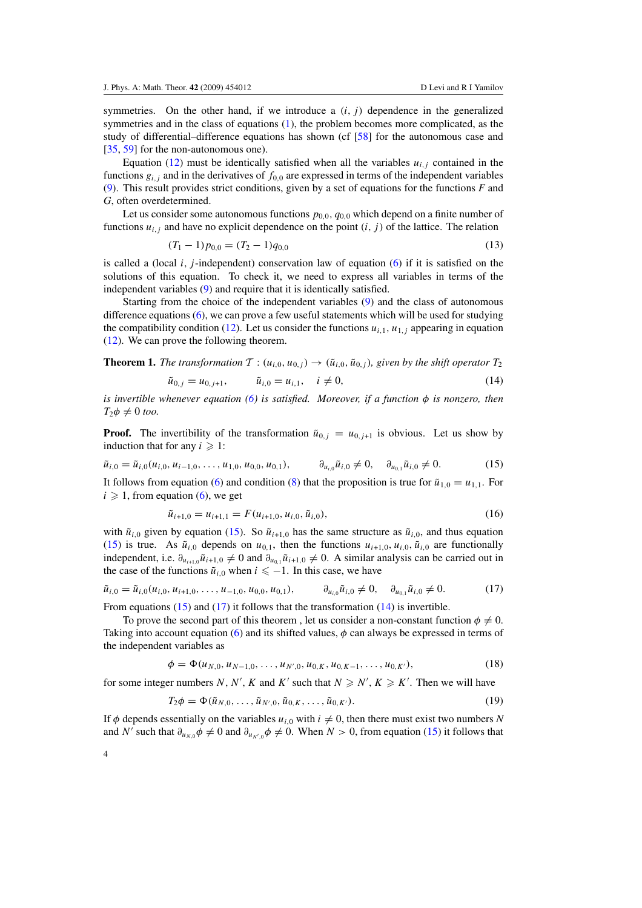<span id="page-3-0"></span>symmetries. On the other hand, if we introduce a  $(i, j)$  dependence in the generalized symmetries and in the class of equations [\(1\)](#page-1-0), the problem becomes more complicated, as the study of differential–difference equations has shown (cf [\[58](#page-17-0)] for the autonomous case and [\[35](#page-17-0), [59](#page-17-0)] for the non-autonomous one).

Equation [\(12\)](#page-2-0) must be identically satisfied when all the variables  $u_{i,j}$  contained in the functions  $g_{i,j}$  and in the derivatives of  $f_{0,0}$  are expressed in terms of the independent variables [\(9\)](#page-2-0). This result provides strict conditions, given by a set of equations for the functions *F* and *G*, often overdetermined.

Let us consider some autonomous functions *p*0*,*0*, q*0*,*<sup>0</sup> which depend on a finite number of functions  $u_{i,j}$  and have no explicit dependence on the point  $(i, j)$  of the lattice. The relation

$$
(T_1 - 1)p_{0,0} = (T_2 - 1)q_{0,0}
$$
\n(13)

is called a (local  $i$ ,  $j$ -independent) conservation law of equation [\(6\)](#page-2-0) if it is satisfied on the solutions of this equation. To check it, we need to express all variables in terms of the independent variables [\(9\)](#page-2-0) and require that it is identically satisfied.

Starting from the choice of the independent variables [\(9\)](#page-2-0) and the class of autonomous difference equations [\(6\)](#page-2-0), we can prove a few useful statements which will be used for studying the compatibility condition [\(12\)](#page-2-0). Let us consider the functions  $u_{i,1}$ ,  $u_{1,i}$  appearing in equation [\(12\)](#page-2-0). We can prove the following theorem.

**Theorem 1.** *The transformation*  $T : (u_{i,0}, u_{0,i}) \rightarrow (\tilde{u}_{i,0}, \tilde{u}_{0,i})$ *, given by the shift operator*  $T_2$ 

$$
\tilde{u}_{0,j} = u_{0,j+1}, \qquad \tilde{u}_{i,0} = u_{i,1}, \quad i \neq 0,
$$
\n(14)

*is invertible whenever equation [\(6\)](#page-2-0) is satisfied. Moreover, if a function φ is nonzero, then*  $T_2\phi \neq 0$  *too*.

**Proof.** The invertibility of the transformation  $\tilde{u}_{0,j} = u_{0,j+1}$  is obvious. Let us show by induction that for any  $i \geqslant 1$ :

$$
\tilde{u}_{i,0} = \tilde{u}_{i,0}(u_{i,0}, u_{i-1,0}, \dots, u_{1,0}, u_{0,0}, u_{0,1}), \qquad \partial_{u_{i,0}} \tilde{u}_{i,0} \neq 0, \quad \partial_{u_{0,1}} \tilde{u}_{i,0} \neq 0.
$$
\n(15)

It follows from equation [\(6\)](#page-2-0) and condition [\(8\)](#page-2-0) that the proposition is true for  $\tilde{u}_{1,0} = u_{1,1}$ . For  $i \geqslant 1$ , from equation [\(6\)](#page-2-0), we get

$$
\tilde{u}_{i+1,0} = u_{i+1,1} = F(u_{i+1,0}, u_{i,0}, \tilde{u}_{i,0}),
$$
\n(16)

with  $\tilde{u}_{i,0}$  given by equation (15). So  $\tilde{u}_{i+1,0}$  has the same structure as  $\tilde{u}_{i,0}$ , and thus equation (15) is true. As  $\tilde{u}_{i,0}$  depends on  $u_{0,1}$ , then the functions  $u_{i+1,0}, u_{i,0}, \tilde{u}_{i,0}$  are functionally independent, i.e.  $\partial_{u_{i+1,0}}\tilde{u}_{i+1,0} \neq 0$  and  $\partial_{u_{0,1}}\tilde{u}_{i+1,0} \neq 0$ . A similar analysis can be carried out in the case of the functions  $\tilde{u}_{i,0}$  when  $i \leq -1$ . In this case, we have

$$
\tilde{u}_{i,0} = \tilde{u}_{i,0}(u_{i,0}, u_{i+1,0}, \dots, u_{-1,0}, u_{0,0}, u_{0,1}), \qquad \partial_{u_{i,0}} \tilde{u}_{i,0} \neq 0, \quad \partial_{u_{0,1}} \tilde{u}_{i,0} \neq 0.
$$
\n(17)

From equations (15) and (17) it follows that the transformation (14) is invertible.

To prove the second part of this theorem, let us consider a non-constant function  $\phi \neq 0$ . Taking into account equation [\(6\)](#page-2-0) and its shifted values, *φ* can always be expressed in terms of the independent variables as

$$
\phi = \Phi(u_{N,0}, u_{N-1,0}, \dots, u_{N',0}, u_{0,K}, u_{0,K-1}, \dots, u_{0,K'}),
$$
\n(18)

for some integer numbers *N*, *N'*, *K* and *K'* such that  $N \ge N'$ ,  $K \ge K'$ . Then we will have

$$
T_2 \phi = \Phi(\tilde{u}_{N,0}, \dots, \tilde{u}_{N',0}, \tilde{u}_{0,K}, \dots, \tilde{u}_{0,K'})
$$
 (19)

If  $\phi$  depends essentially on the variables  $u_{i,0}$  with  $i \neq 0$ , then there must exist two numbers *N* and *N'* such that  $\partial_{u_{N,0}} \phi \neq 0$  and  $\partial_{u_{N',0}} \phi \neq 0$ . When *N* > 0, from equation (15) it follows that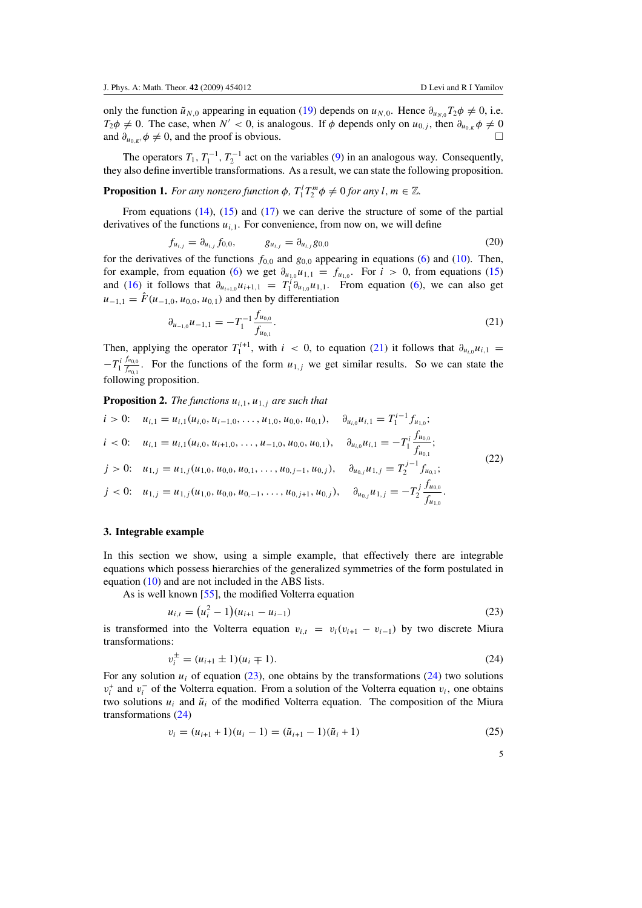<span id="page-4-0"></span>only the function  $\tilde{u}_{N,0}$  appearing in equation [\(19\)](#page-3-0) depends on  $u_{N,0}$ . Hence  $\partial_{u_{N,0}}T_2\phi \neq 0$ , i.e. *T*<sub>2</sub> $\phi \neq 0$ . The case, when *N'* < 0, is analogous. If  $\phi$  depends only on *u*<sub>0*,j*</sub>, then  $\partial_{u_{0,K}} \phi \neq 0$ and  $\partial_{u_{0,K'}}\phi \neq 0$ , and the proof is obvious.

The operators  $T_1$ ,  $T_1^{-1}$ ,  $T_2^{-1}$  act on the variables [\(9\)](#page-2-0) in an analogous way. Consequently, they also define invertible transformations. As a result, we can state the following proposition.

**Proposition 1.** *For any nonzero function*  $\phi$ *,*  $T_1^l T_2^m \phi \neq 0$  *for any l*,  $m \in \mathbb{Z}$ *.* 

From equations  $(14)$ ,  $(15)$  and  $(17)$  we can derive the structure of some of the partial derivatives of the functions  $u_{i,1}$ . For convenience, from now on, we will define

$$
f_{u_{i,j}} = \partial_{u_{i,j}} f_{0,0}, \qquad g_{u_{i,j}} = \partial_{u_{i,j}} g_{0,0}
$$
 (20)

for the derivatives of the functions  $f_{0,0}$  and  $g_{0,0}$  appearing in equations [\(6\)](#page-2-0) and [\(10\)](#page-2-0). Then, for example, from equation [\(6\)](#page-2-0) we get  $\partial_{u_{1,0}}u_{1,1} = f_{u_{1,0}}$ . For  $i > 0$ , from equations [\(15\)](#page-3-0) and [\(16\)](#page-3-0) it follows that  $\partial_{u_{i+1,0}} u_{i+1,1} = T_1^i \partial_{u_{1,0}} u_{1,1}$ . From equation [\(6\)](#page-2-0), we can also get  $u_{-1,1} = \hat{F}(u_{-1,0}, u_{0,0}, u_{0,1})$  and then by differentiation

$$
\partial_{u_{-1,0}} u_{-1,1} = -T_1^{-1} \frac{f_{u_{0,0}}}{f_{u_{0,1}}}.
$$
\n(21)

Then, applying the operator  $T_1^{i+1}$ , with  $i < 0$ , to equation (21) it follows that  $\partial_{u_{i,0}} u_{i,1} =$  $-T_1^i \frac{f_{u_{0,0}}}{f_{u_{0,1}}}$  $f_{u_{0,1}}^{u_{0,0}}$ . For the functions of the form  $u_{1,j}$  we get similar results. So we can state the following proposition.

**Proposition 2.** *The functions*  $u_{i,1}$ *,*  $u_{1,j}$  *are such that* 

$$
i > 0: \t u_{i,1} = u_{i,1}(u_{i,0}, u_{i-1,0}, \ldots, u_{1,0}, u_{0,0}, u_{0,1}), \t \partial_{u_{i,0}} u_{i,1} = T_1^{i-1} f_{u_{1,0}};
$$
  
\n
$$
i < 0: \t u_{i,1} = u_{i,1}(u_{i,0}, u_{i+1,0}, \ldots, u_{-1,0}, u_{0,0}, u_{0,1}), \t \partial_{u_{i,0}} u_{i,1} = -T_1^i \frac{f_{u_{0,0}}}{f_{u_{0,1}}};
$$
  
\n
$$
j > 0: \t u_{1,j} = u_{1,j}(u_{1,0}, u_{0,0}, u_{0,1}, \ldots, u_{0,j-1}, u_{0,j}), \t \partial_{u_{0,j}} u_{1,j} = T_2^{j-1} f_{u_{0,1}};
$$
  
\n
$$
j < 0: \t u_{1,j} = u_{1,j}(u_{1,0}, u_{0,0}, u_{0,-1}, \ldots, u_{0,j+1}, u_{0,j}), \t \partial_{u_{0,j}} u_{1,j} = -T_2^j \frac{f_{u_{0,0}}}{f_{u_{1,0}}}.
$$
  
\n(22)

#### **3. Integrable example**

In this section we show, using a simple example, that effectively there are integrable equations which possess hierarchies of the generalized symmetries of the form postulated in equation [\(10\)](#page-2-0) and are not included in the ABS lists.

As is well known [\[55\]](#page-17-0), the modified Volterra equation

$$
u_{i,t} = (u_i^2 - 1)(u_{i+1} - u_{i-1})
$$
\n(23)

is transformed into the Volterra equation  $v_{i,t} = v_i(v_{i+1} - v_{i-1})$  by two discrete Miura transformations:

$$
v_i^{\pm} = (u_{i+1} \pm 1)(u_i \mp 1). \tag{24}
$$

For any solution  $u_i$  of equation (23), one obtains by the transformations (24) two solutions  $v_i^+$  and  $v_i^-$  of the Volterra equation. From a solution of the Volterra equation  $v_i$ , one obtains two solutions  $u_i$  and  $\tilde{u}_i$  of the modified Volterra equation. The composition of the Miura transformations (24)

$$
v_i = (u_{i+1} + 1)(u_i - 1) = (\tilde{u}_{i+1} - 1)(\tilde{u}_i + 1)
$$
\n(25)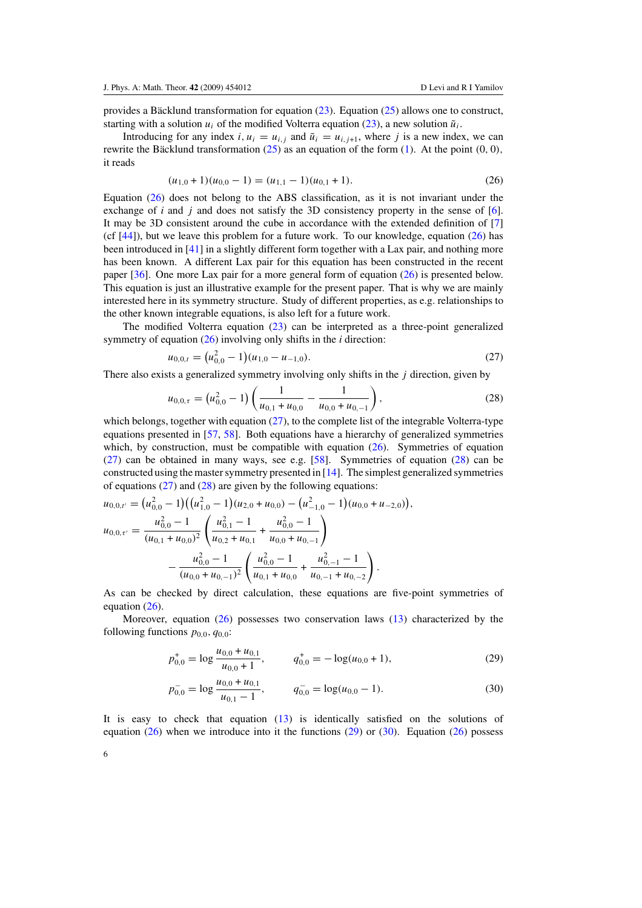<span id="page-5-0"></span>provides a Bäcklund transformation for equation  $(23)$  $(23)$ . Equation  $(25)$  allows one to construct, starting with a solution  $u_i$  of the modified Volterra equation [\(23\)](#page-4-0), a new solution  $\tilde{u}_i$ .

Introducing for any index *i*,  $u_i = u_{i,j}$  and  $\tilde{u}_i = u_{i,j+1}$ , where *j* is a new index, we can rewrite the Bäcklund transformation  $(25)$  $(25)$  as an equation of the form  $(1)$ . At the point  $(0, 0)$ , it reads

$$
(u_{1,0} + 1)(u_{0,0} - 1) = (u_{1,1} - 1)(u_{0,1} + 1). \tag{26}
$$

Equation (26) does not belong to the ABS classification, as it is not invariant under the exchange of *i* and *j* and does not satisfy the 3D consistency property in the sense of [\[6\]](#page-15-0). It may be 3D consistent around the cube in accordance with the extended definition of [\[7](#page-15-0)] (cf  $[44]$  $[44]$ ), but we leave this problem for a future work. To our knowledge, equation (26) has been introduced in [\[41](#page-17-0)] in a slightly different form together with a Lax pair, and nothing more has been known. A different Lax pair for this equation has been constructed in the recent paper [\[36](#page-17-0)]. One more Lax pair for a more general form of equation (26) is presented below. This equation is just an illustrative example for the present paper. That is why we are mainly interested here in its symmetry structure. Study of different properties, as e.g. relationships to the other known integrable equations, is also left for a future work.

The modified Volterra equation  $(23)$  can be interpreted as a three-point generalized symmetry of equation (26) involving only shifts in the *i* direction:

$$
u_{0,0,t} = (u_{0,0}^2 - 1)(u_{1,0} - u_{-1,0}).
$$
\n(27)

There also exists a generalized symmetry involving only shifts in the *j* direction, given by

$$
u_{0,0,\tau} = \left(u_{0,0}^2 - 1\right) \left(\frac{1}{u_{0,1} + u_{0,0}} - \frac{1}{u_{0,0} + u_{0,-1}}\right),\tag{28}
$$

which belongs, together with equation  $(27)$ , to the complete list of the integrable Volterra-type equations presented in [\[57](#page-17-0), [58](#page-17-0)]. Both equations have a hierarchy of generalized symmetries which, by construction, must be compatible with equation (26). Symmetries of equation (27) can be obtained in many ways, see e.g. [\[58](#page-17-0)]. Symmetries of equation (28) can be constructed using the master symmetry presented in [\[14](#page-16-0)]. The simplest generalized symmetries of equations  $(27)$  and  $(28)$  are given by the following equations:

$$
u_{0,0,t'} = (u_{0,0}^2 - 1)((u_{1,0}^2 - 1)(u_{2,0} + u_{0,0}) - (u_{-1,0}^2 - 1)(u_{0,0} + u_{-2,0})),
$$
  
\n
$$
u_{0,0,\tau'} = \frac{u_{0,0}^2 - 1}{(u_{0,1} + u_{0,0})^2} \left(\frac{u_{0,1}^2 - 1}{u_{0,2} + u_{0,1}} + \frac{u_{0,0}^2 - 1}{u_{0,0} + u_{0,-1}}\right)
$$
  
\n
$$
- \frac{u_{0,0}^2 - 1}{(u_{0,0} + u_{0,-1})^2} \left(\frac{u_{0,0}^2 - 1}{u_{0,1} + u_{0,0}} + \frac{u_{0,-1}^2 - 1}{u_{0,-1} + u_{0,-2}}\right).
$$

As can be checked by direct calculation, these equations are five-point symmetries of equation (26).

Moreover, equation (26) possesses two conservation laws [\(13\)](#page-3-0) characterized by the following functions  $p_{0,0}$ ,  $q_{0,0}$ :

$$
p_{0,0}^{+} = \log \frac{u_{0,0} + u_{0,1}}{u_{0,0} + 1}, \qquad q_{0,0}^{+} = -\log(u_{0,0} + 1), \tag{29}
$$

$$
p_{0,0}^- = \log \frac{u_{0,0} + u_{0,1}}{u_{0,1} - 1}, \qquad q_{0,0}^- = \log(u_{0,0} - 1). \tag{30}
$$

It is easy to check that equation [\(13\)](#page-3-0) is identically satisfied on the solutions of equation  $(26)$  when we introduce into it the functions  $(29)$  or  $(30)$ . Equation  $(26)$  possess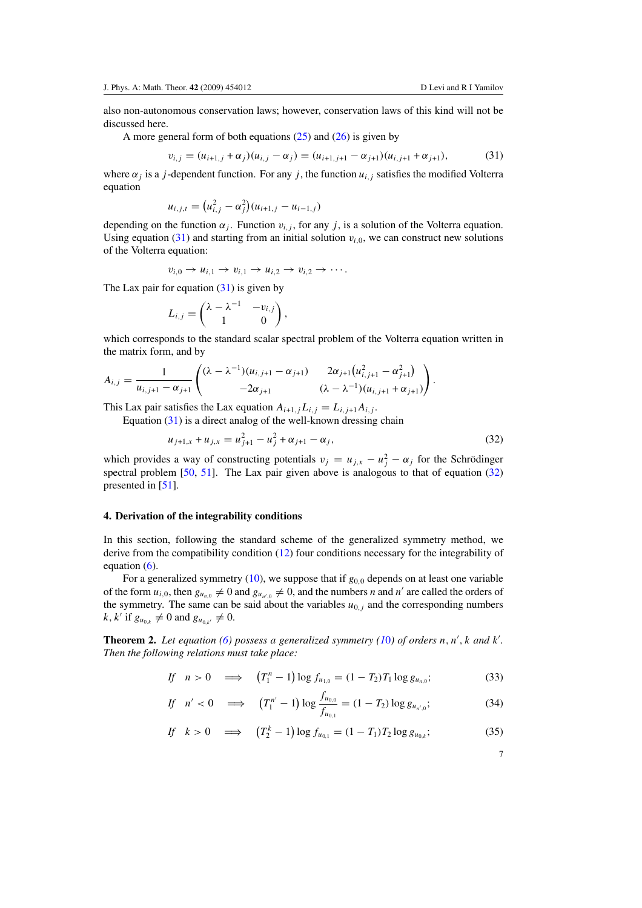<span id="page-6-0"></span>also non-autonomous conservation laws; however, conservation laws of this kind will not be discussed here.

A more general form of both equations  $(25)$  and  $(26)$  is given by

$$
v_{i,j} = (u_{i+1,j} + \alpha_j)(u_{i,j} - \alpha_j) = (u_{i+1,j+1} - \alpha_{j+1})(u_{i,j+1} + \alpha_{j+1}),
$$
(31)

where  $\alpha_j$  is a *j*-dependent function. For any *j*, the function  $u_{i,j}$  satisfies the modified Volterra equation

$$
u_{i,j,t} = (u_{i,j}^2 - \alpha_j^2)(u_{i+1,j} - u_{i-1,j})
$$

depending on the function  $\alpha_j$ . Function  $v_{i,j}$ , for any *j*, is a solution of the Volterra equation. Using equation (31) and starting from an initial solution  $v_{i,0}$ , we can construct new solutions of the Volterra equation:

$$
v_{i,0}\rightarrow u_{i,1}\rightarrow v_{i,1}\rightarrow u_{i,2}\rightarrow v_{i,2}\rightarrow\cdots.
$$

The Lax pair for equation  $(31)$  is given by

$$
L_{i,j} = \begin{pmatrix} \lambda - \lambda^{-1} & -v_{i,j} \\ 1 & 0 \end{pmatrix},
$$

which corresponds to the standard scalar spectral problem of the Volterra equation written in the matrix form, and by

$$
A_{i,j} = \frac{1}{u_{i,j+1} - \alpha_{j+1}} \begin{pmatrix} (\lambda - \lambda^{-1})(u_{i,j+1} - \alpha_{j+1}) & 2\alpha_{j+1}(u_{i,j+1}^2 - \alpha_{j+1}^2) \\ -2\alpha_{j+1} & (\lambda - \lambda^{-1})(u_{i,j+1} + \alpha_{j+1}) \end{pmatrix}.
$$

This Lax pair satisfies the Lax equation  $A_{i+1,j}L_{i,j} = L_{i,j+1}A_{i,j}$ .

Equation (31) is a direct analog of the well-known dressing chain

$$
u_{j+1,x} + u_{j,x} = u_{j+1}^2 - u_j^2 + \alpha_{j+1} - \alpha_j,
$$
\n(32)

which provides a way of constructing potentials  $v_j = u_{j,x} - u_j^2 - \alpha_j$  for the Schrödinger spectral problem [\[50](#page-17-0), [51](#page-17-0)]. The Lax pair given above is analogous to that of equation (32) presented in [\[51](#page-17-0)].

#### **4. Derivation of the integrability conditions**

In this section, following the standard scheme of the generalized symmetry method, we derive from the compatibility condition [\(12\)](#page-2-0) four conditions necessary for the integrability of equation [\(6\)](#page-2-0).

For a generalized symmetry  $(10)$ , we suppose that if  $g_{0,0}$  depends on at least one variable of the form  $u_{i,0}$ , then  $g_{u_{n,0}} \neq 0$  and  $g_{u_{n',0}} \neq 0$ , and the numbers *n* and *n'* are called the orders of the symmetry. The same can be said about the variables  $u_{0,j}$  and the corresponding numbers  $k, k'$  if  $g_{u_{0,k}} \neq 0$  and  $g_{u_{0,k'}} \neq 0$ .

**Theorem 2.** Let equation [\(6\)](#page-2-0) possess a generalized symmetry [\(1](#page-2-0)0) of orders  $n, n'$ ,  $k$  and  $k'$ . *Then the following relations must take place:*

$$
If \quad n > 0 \quad \implies \quad \left(T_1^n - 1\right) \log f_{u_{1,0}} = (1 - T_2) T_1 \log g_{u_{n,0}};\tag{33}
$$

$$
If \quad n' < 0 \quad \Longrightarrow \quad \left(T_1^{n'} - 1\right) \log \frac{f_{u_{0,0}}}{f_{u_{0,1}}} = (1 - T_2) \log g_{u_{n',0}}; \tag{34}
$$

If 
$$
k > 0
$$
  $\implies$   $(T_2^k - 1) \log f_{u_{0,1}} = (1 - T_1) T_2 \log g_{u_{0,k}};$  (35)

7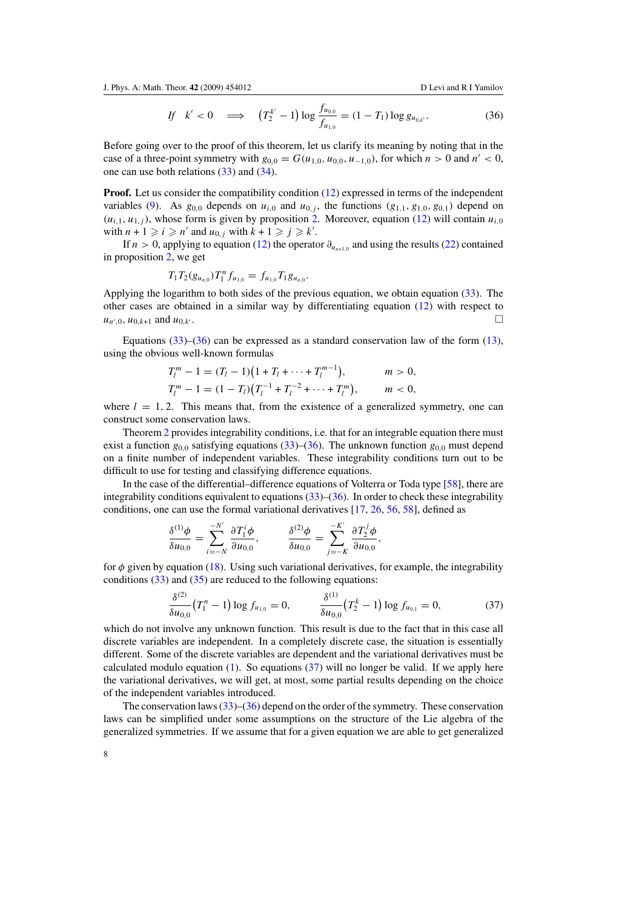$$
If \quad k' < 0 \quad \Longrightarrow \quad \left(T_2^{k'} - 1\right) \log \frac{f_{u_{0,0}}}{f_{u_{1,0}}} = (1 - T_1) \log g_{u_{0,k'}}.\tag{36}
$$

<span id="page-7-0"></span>Before going over to the proof of this theorem, let us clarify its meaning by noting that in the case of a three-point symmetry with  $g_{0,0} = G(u_{1,0}, u_{0,0}, u_{-1,0})$ , for which  $n > 0$  and  $n' < 0$ , one can use both relations [\(33\)](#page-6-0) and [\(34\)](#page-6-0).

**Proof.** Let us consider the compatibility condition [\(12\)](#page-2-0) expressed in terms of the independent variables [\(9\)](#page-2-0). As  $g_{0,0}$  depends on  $u_{i,0}$  and  $u_{0,i}$ , the functions  $(g_{1,1}, g_{1,0}, g_{0,1})$  depend on  $(u_{i,1}, u_{1,i})$ , whose form is given by proposition [2.](#page-4-0) Moreover, equation [\(12\)](#page-2-0) will contain  $u_{i,0}$ with  $n + 1 \geq i \geq n'$  and  $u_{0,j}$  with  $k + 1 \geq j \geq k'$ .

If *n* > 0, applying to equation [\(12\)](#page-2-0) the operator  $\partial_{u_{n+1,0}}$  and using the results [\(22\)](#page-4-0) contained in proposition [2,](#page-4-0) we get

$$
T_1T_2(g_{u_{n,0}})T_1^n f_{u_{1,0}}=f_{u_{1,0}}T_1g_{u_{n,0}}.
$$

Applying the logarithm to both sides of the previous equation, we obtain equation [\(33\)](#page-6-0). The other cases are obtained in a similar way by differentiating equation [\(12\)](#page-2-0) with respect to  $u_{n',0}, u_{0,k+1}$  and  $u_{0,k'}$ .

Equations  $(33)$ – $(36)$  can be expressed as a standard conservation law of the form  $(13)$ , using the obvious well-known formulas

$$
T_l^m - 1 = (T_l - 1)(1 + T_l + \dots + T_l^{m-1}), \qquad m > 0,
$$
  
\n
$$
T_l^m - 1 = (1 - T_l)(T_l^{-1} + T_l^{-2} + \dots + T_l^m), \qquad m < 0,
$$

where  $l = 1, 2$ . This means that, from the existence of a generalized symmetry, one can construct some conservation laws.

Theorem [2](#page-6-0) provides integrability conditions, i.e. that for an integrable equation there must exist a function  $g_{0,0}$  satisfying equations [\(33\)](#page-6-0)–(36). The unknown function  $g_{0,0}$  must depend on a finite number of independent variables. These integrability conditions turn out to be difficult to use for testing and classifying difference equations.

In the case of the differential–difference equations of Volterra or Toda type [\[58](#page-17-0)], there are integrability conditions equivalent to equations  $(33)$ – $(36)$ . In order to check these integrability conditions, one can use the formal variational derivatives [\[17,](#page-16-0) [26,](#page-16-0) [56](#page-17-0), [58](#page-17-0)], defined as

$$
\frac{\delta^{(1)}\phi}{\delta u_{0,0}} = \sum_{i=-N}^{-N'} \frac{\partial T_1^i \phi}{\partial u_{0,0}}, \qquad \frac{\delta^{(2)}\phi}{\delta u_{0,0}} = \sum_{j=-K}^{-K'} \frac{\partial T_2^j \phi}{\partial u_{0,0}},
$$

for  $\phi$  given by equation [\(18\)](#page-3-0). Using such variational derivatives, for example, the integrability conditions  $(33)$  and  $(35)$  are reduced to the following equations:

$$
\frac{\delta^{(2)}}{\delta u_{0,0}} \left( T_1^n - 1 \right) \log f_{u_{1,0}} = 0, \qquad \frac{\delta^{(1)}}{\delta u_{0,0}} \left( T_2^k - 1 \right) \log f_{u_{0,1}} = 0, \tag{37}
$$

which do not involve any unknown function. This result is due to the fact that in this case all discrete variables are independent. In a completely discrete case, the situation is essentially different. Some of the discrete variables are dependent and the variational derivatives must be calculated modulo equation  $(1)$ . So equations  $(37)$  will no longer be valid. If we apply here the variational derivatives, we will get, at most, some partial results depending on the choice of the independent variables introduced.

The conservation laws  $(33)$ – $(36)$  depend on the order of the symmetry. These conservation laws can be simplified under some assumptions on the structure of the Lie algebra of the generalized symmetries. If we assume that for a given equation we are able to get generalized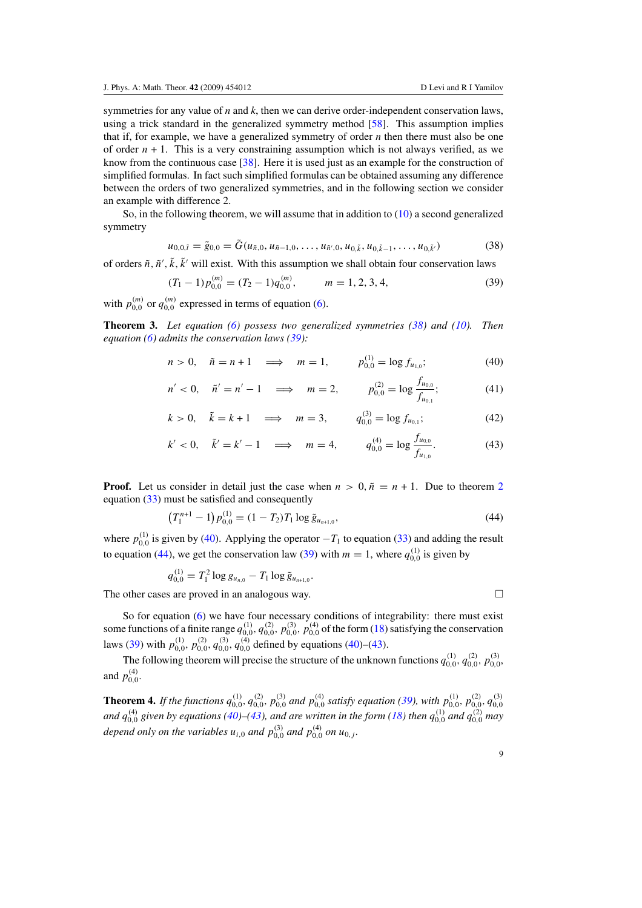<span id="page-8-0"></span>symmetries for any value of *n* and *k*, then we can derive order-independent conservation laws, using a trick standard in the generalized symmetry method [\[58\]](#page-17-0). This assumption implies that if, for example, we have a generalized symmetry of order *n* then there must also be one of order  $n + 1$ . This is a very constraining assumption which is not always verified, as we know from the continuous case [\[38](#page-17-0)]. Here it is used just as an example for the construction of simplified formulas. In fact such simplified formulas can be obtained assuming any difference between the orders of two generalized symmetries, and in the following section we consider an example with difference 2.

So, in the following theorem, we will assume that in addition to [\(10\)](#page-2-0) a second generalized symmetry

$$
u_{0,0,\tilde{t}} = \tilde{g}_{0,0} = \tilde{G}(u_{\tilde{n},0}, u_{\tilde{n}-1,0}, \dots, u_{\tilde{n}',0}, u_{0,\tilde{k}}, u_{0,\tilde{k}-1}, \dots, u_{0,\tilde{k}'})
$$
(38)

of orders  $\tilde{n}$ ,  $\tilde{n}'$ ,  $\tilde{k}$ ,  $\tilde{k}'$  will exist. With this assumption we shall obtain four conservation laws

$$
(T_1 - 1)p_{0,0}^{(m)} = (T_2 - 1)q_{0,0}^{(m)}, \qquad m = 1, 2, 3, 4,
$$
\n(39)

with  $p_{0,0}^{(m)}$  or  $q_{0,0}^{(m)}$  expressed in terms of equation [\(6\)](#page-2-0).

**Theorem 3.** *Let equation [\(6\)](#page-2-0) possess two generalized symmetries (38) and [\(10\)](#page-2-0). Then equation [\(6\)](#page-2-0) admits the conservation laws (39):*

$$
n > 0
$$
,  $\tilde{n} = n + 1 \implies m = 1$ ,  $p_{0,0}^{(1)} = \log f_{u_{1,0}};$  (40)

$$
n' < 0, \quad \tilde{n}' = n' - 1 \quad \Longrightarrow \quad m = 2, \qquad \quad p_{0,0}^{(2)} = \log \frac{f_{u_{0,0}}}{f_{u_{0,1}}};\tag{41}
$$

$$
k > 0
$$
,  $\tilde{k} = k + 1 \implies m = 3$ ,  $q_{0,0}^{(3)} = \log f_{u_{0,1}};$  (42)

$$
k' < 0
$$
,  $\tilde{k}' = k' - 1 \implies m = 4$ ,  $q_{0,0}^{(4)} = \log \frac{f_{u_{0,0}}}{f_{u_{1,0}}}$ . (43)

**Proof.** Let us consider in detail just the case when  $n > 0$ ,  $\tilde{n} = n + 1$ . Due to theorem [2](#page-6-0) equation [\(33\)](#page-6-0) must be satisfied and consequently

$$
(T_1^{n+1} - 1) p_{0,0}^{(1)} = (1 - T_2) T_1 \log \tilde{g}_{u_{n+1,0}},
$$
\n(44)

where  $p_{0,0}^{(1)}$  is given by (40). Applying the operator  $-T_1$  to equation [\(33\)](#page-6-0) and adding the result to equation (44), we get the conservation law (39) with  $m = 1$ , where  $q_{0,0}^{(1)}$  is given by

$$
q_{0,0}^{(1)} = T_1^2 \log g_{u_{n,0}} - T_1 \log \tilde{g}_{u_{n+1,0}}.
$$

The other cases are proved in an analogous way.  $\Box$ 

So for equation [\(6\)](#page-2-0) we have four necessary conditions of integrability: there must exist some functions of a finite range  $q_{0,0}^{(1)}, q_{0,0}^{(2)}, p_{0,0}^{(3)}, p_{0,0}^{(4)}$  of the form [\(18\)](#page-3-0) satisfying the conservation laws (39) with  $p_{0,0}^{(1)}$ ,  $p_{0,0}^{(2)}$ ,  $q_{0,0}^{(3)}$ ,  $q_{0,0}^{(4)}$  defined by equations (40)–(43).

The following theorem will precise the structure of the unknown functions  $q_{0,0}^{(1)}, q_{0,0}^{(2)}, p_{0,0}^{(3)}$ and  $p_{0,0}^{(4)}$ .

**Theorem 4.** If the functions  $q_{0,0}^{(1)}, q_{0,0}^{(2)}, p_{0,0}^{(3)}$  and  $p_{0,0}^{(4)}$  satisfy equation (39), with  $p_{0,0}^{(1)}, p_{0,0}^{(2)}, q_{0,0}^{(3)}$ and  $q_{0,0}^{(4)}$  given by equations (40)–(43), and are written in the form [\(18\)](#page-3-0) then  $q_{0,0}^{(1)}$  and  $q_{0,0}^{(2)}$  may *depend only on the variables*  $u_{i,0}$  *and*  $p_{0,0}^{(3)}$  *and*  $p_{0,0}^{(4)}$  *on*  $u_{0,j}$ *.*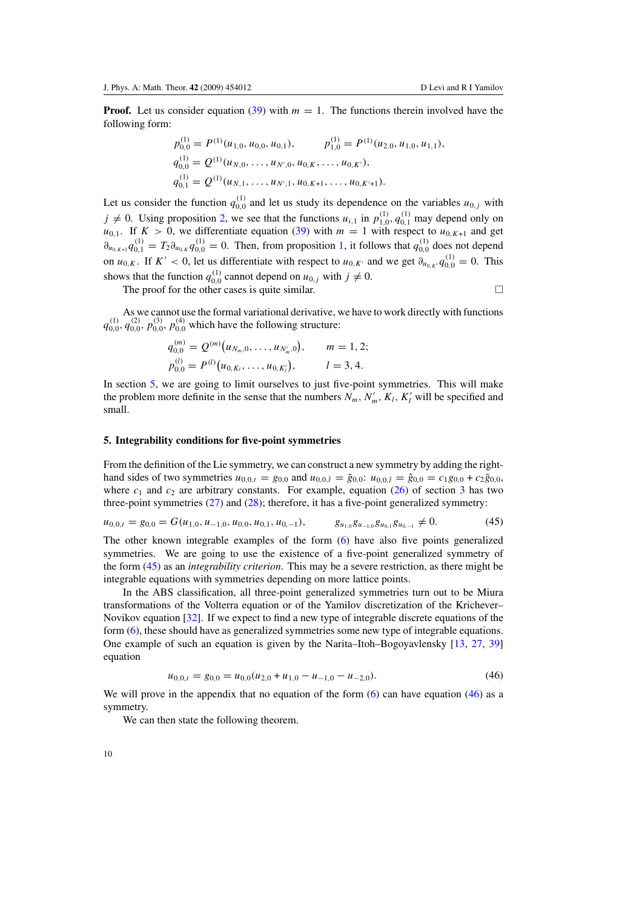<span id="page-9-0"></span>**Proof.** Let us consider equation [\(39\)](#page-8-0) with  $m = 1$ . The functions therein involved have the following form:

$$
p_{0,0}^{(1)} = P^{(1)}(u_{1,0}, u_{0,0}, u_{0,1}), \qquad p_{1,0}^{(1)} = P^{(1)}(u_{2,0}, u_{1,0}, u_{1,1}),
$$
  
\n
$$
q_{0,0}^{(1)} = Q^{(1)}(u_{N,0}, \ldots, u_{N',0}, u_{0,K}, \ldots, u_{0,K'})
$$
  
\n
$$
q_{0,1}^{(1)} = Q^{(1)}(u_{N,1}, \ldots, u_{N',1}, u_{0,K+1}, \ldots, u_{0,K'+1}).
$$

Let us consider the function  $q_{0,0}^{(1)}$  and let us study its dependence on the variables  $u_{0,j}$  with  $j \neq 0$ . Using proposition [2,](#page-4-0) we see that the functions  $u_{i,1}$  in  $p_{1,0}^{(1)}, q_{0,1}^{(1)}$  may depend only on  $u_{0,1}$ . If  $K > 0$ , we differentiate equation [\(39\)](#page-8-0) with  $m = 1$  with respect to  $u_{0,K+1}$  and get  $\partial_{u_{0,K+1}} q_{0,1}^{(1)} = T_2 \partial_{u_{0,K}} q_{0,0}^{(1)} = 0$ . Then, from proposition [1,](#page-4-0) it follows that  $q_{0,0}^{(1)}$  does not depend on *u*<sub>0</sub>*K*. If *K'* < 0, let us differentiate with respect to *u*<sub>0</sub>*K'* and we get  $\partial_{u_{0,K'}} q_{0,0}^{(1)} = 0$ . This shows that the function  $q_{0,0}^{(1)}$  cannot depend on  $u_{0,j}$  with  $j \neq 0$ .

The proof for the other cases is quite similar.  $\Box$ 

As we cannot use the formal variational derivative, we have to work directly with functions  $q_{0,0}^{(1)}, q_{0,0}^{(2)}, p_{0,0}^{(3)}, p_{0,0}^{(4)}$  which have the following structure:

$$
q_{0,0}^{(m)} = Q^{(m)}(u_{N_m,0},\ldots,u_{N'_m,0}), \qquad m = 1,2;
$$
  

$$
p_{0,0}^{(l)} = P^{(l)}(u_{0,K_l},\ldots,u_{0,K'_l}), \qquad l = 3,4.
$$

In section 5, we are going to limit ourselves to just five-point symmetries. This will make the problem more definite in the sense that the numbers  $N_m$ ,  $N'_m$ ,  $K_l$ ,  $K'_l$  will be specified and small.

### **5. Integrability conditions for five-point symmetries**

From the definition of the Lie symmetry, we can construct a new symmetry by adding the righthand sides of two symmetries  $u_{0,0,t} = g_{0,0}$  and  $u_{0,0,\tilde{t}} = \tilde{g}_{0,0}$ :  $u_{0,0,\hat{t}} = \hat{g}_{0,0} = c_1 g_{0,0} + c_2 \tilde{g}_{0,0}$ , where  $c_1$  and  $c_2$  are arbitrary constants. For example, equation [\(26\)](#page-5-0) of section [3](#page-4-0) has two three-point symmetries [\(27\)](#page-5-0) and [\(28\)](#page-5-0); therefore, it has a five-point generalized symmetry:

$$
u_{0,0,t} = g_{0,0} = G(u_{1,0}, u_{-1,0}, u_{0,0}, u_{0,1}, u_{0,-1}), \qquad g_{u_{1,0}} g_{u_{-1,0}} g_{u_{0,1}} g_{u_{0,-1}} \neq 0.
$$
 (45)

The other known integrable examples of the form [\(6\)](#page-2-0) have also five points generalized symmetries. We are going to use the existence of a five-point generalized symmetry of the form (45) as an *integrability criterion*. This may be a severe restriction, as there might be integrable equations with symmetries depending on more lattice points.

In the ABS classification, all three-point generalized symmetries turn out to be Miura transformations of the Volterra equation or of the Yamilov discretization of the Krichever– Novikov equation [\[32\]](#page-16-0). If we expect to find a new type of integrable discrete equations of the form [\(6\)](#page-2-0), these should have as generalized symmetries some new type of integrable equations. One example of such an equation is given by the Narita–Itoh–Bogoyavlensky [\[13,](#page-16-0) [27](#page-16-0), [39](#page-17-0)] equation

$$
u_{0,0,t} = g_{0,0} = u_{0,0}(u_{2,0} + u_{1,0} - u_{-1,0} - u_{-2,0}).
$$
\n
$$
(46)
$$

We will prove in the appendix that no equation of the form [\(6\)](#page-2-0) can have equation (46) as a symmetry.

We can then state the following theorem.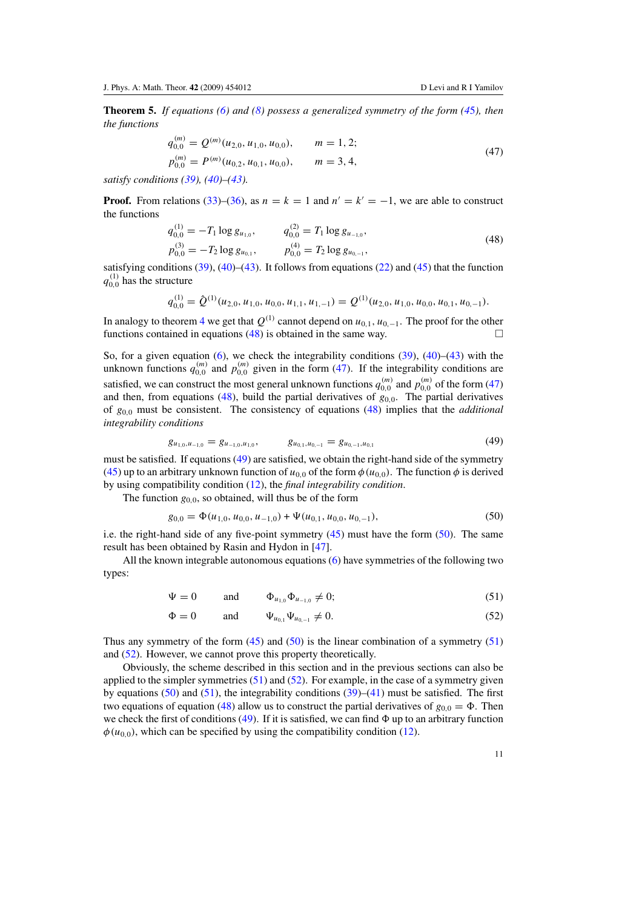<span id="page-10-0"></span>**Theorem 5.** *If equations [\(6\)](#page-2-0) and [\(8\)](#page-2-0) possess a generalized symmetry of the form [\(4](#page-9-0)*5*), then the functions*

$$
q_{0,0}^{(m)} = Q^{(m)}(u_{2,0}, u_{1,0}, u_{0,0}), \qquad m = 1, 2;
$$
  
\n
$$
p_{0,0}^{(m)} = P^{(m)}(u_{0,2}, u_{0,1}, u_{0,0}), \qquad m = 3, 4,
$$
\n(47)

*satisfy conditions [\(39\)](#page-8-0), [\(40\)](#page-8-0)–[\(43\)](#page-8-0).*

**Proof.** From relations [\(33\)](#page-6-0)–[\(36\)](#page-7-0), as  $n = k = 1$  and  $n' = k' = -1$ , we are able to construct the functions

$$
q_{0,0}^{(1)} = -T_1 \log g_{u_{1,0}}, \qquad q_{0,0}^{(2)} = T_1 \log g_{u_{-1,0}},
$$
  
\n
$$
p_{0,0}^{(3)} = -T_2 \log g_{u_{0,1}}, \qquad p_{0,0}^{(4)} = T_2 \log g_{u_{0,-1}},
$$
\n(48)

satisfying conditions [\(39\)](#page-8-0), [\(40\)](#page-8-0)–[\(43\)](#page-8-0). It follows from equations [\(22\)](#page-4-0) and [\(45\)](#page-9-0) that the function  $q_{0,0}^{(1)}$  has the structure

$$
q_{0,0}^{(1)} = \hat{Q}^{(1)}(u_{2,0}, u_{1,0}, u_{0,0}, u_{1,1}, u_{1,-1}) = Q^{(1)}(u_{2,0}, u_{1,0}, u_{0,0}, u_{0,1}, u_{0,-1}).
$$

In analogy to theorem [4](#page-8-0) we get that  $Q^{(1)}$  cannot depend on  $u_{0,1}, u_{0,-1}$ . The proof for the other functions contained in equations (48) is obtained in the same way. □ functions contained in equations (48) is obtained in the same way.

So, for a given equation  $(6)$ , we check the integrability conditions  $(39)$ ,  $(40)$ – $(43)$  with the unknown functions  $q_{0,0}^{(m)}$  and  $p_{0,0}^{(m)}$  given in the form (47). If the integrability conditions are satisfied, we can construct the most general unknown functions  $q_{0,0}^{(m)}$  and  $p_{0,0}^{(m)}$  of the form (47) and then, from equations (48), build the partial derivatives of  $g_{0,0}$ . The partial derivatives of *g*0*,*<sup>0</sup> must be consistent. The consistency of equations (48) implies that the *additional integrability conditions*

$$
g_{u_{1,0},u_{-1,0}} = g_{u_{-1,0},u_{1,0}}, \qquad g_{u_{0,1},u_{0,-1}} = g_{u_{0,-1},u_{0,1}} \tag{49}
$$

must be satisfied. If equations (49) are satisfied, we obtain the right-hand side of the symmetry [\(45\)](#page-9-0) up to an arbitrary unknown function of  $u_{0,0}$  of the form  $\phi(u_{0,0})$ . The function  $\phi$  is derived by using compatibility condition [\(12\)](#page-2-0), the *final integrability condition*.

The function  $g_{0,0}$ , so obtained, will thus be of the form

$$
g_{0,0} = \Phi(u_{1,0}, u_{0,0}, u_{-1,0}) + \Psi(u_{0,1}, u_{0,0}, u_{0,-1}),
$$
\n
$$
(50)
$$

i.e. the right-hand side of any five-point symmetry [\(45\)](#page-9-0) must have the form (50). The same result has been obtained by Rasin and Hydon in [\[47](#page-17-0)].

All the known integrable autonomous equations [\(6\)](#page-2-0) have symmetries of the following two types:

$$
\Psi = 0
$$
 and  $\Phi_{u_{1,0}} \Phi_{u_{-1,0}} \neq 0;$  (51)

$$
\Phi = 0 \quad \text{and} \quad \Psi_{u_{0,1}} \Psi_{u_{0,-1}} \neq 0. \tag{52}
$$

Thus any symmetry of the form  $(45)$  and  $(50)$  is the linear combination of a symmetry  $(51)$ and (52). However, we cannot prove this property theoretically.

Obviously, the scheme described in this section and in the previous sections can also be applied to the simpler symmetries  $(51)$  and  $(52)$ . For example, in the case of a symmetry given by equations  $(50)$  and  $(51)$ , the integrability conditions  $(39)$ – $(41)$  must be satisfied. The first two equations of equation (48) allow us to construct the partial derivatives of  $g_{0,0} = \Phi$ . Then we check the first of conditions (49). If it is satisfied, we can find  $\Phi$  up to an arbitrary function  $\phi(u_{0,0})$ , which can be specified by using the compatibility condition [\(12\)](#page-2-0).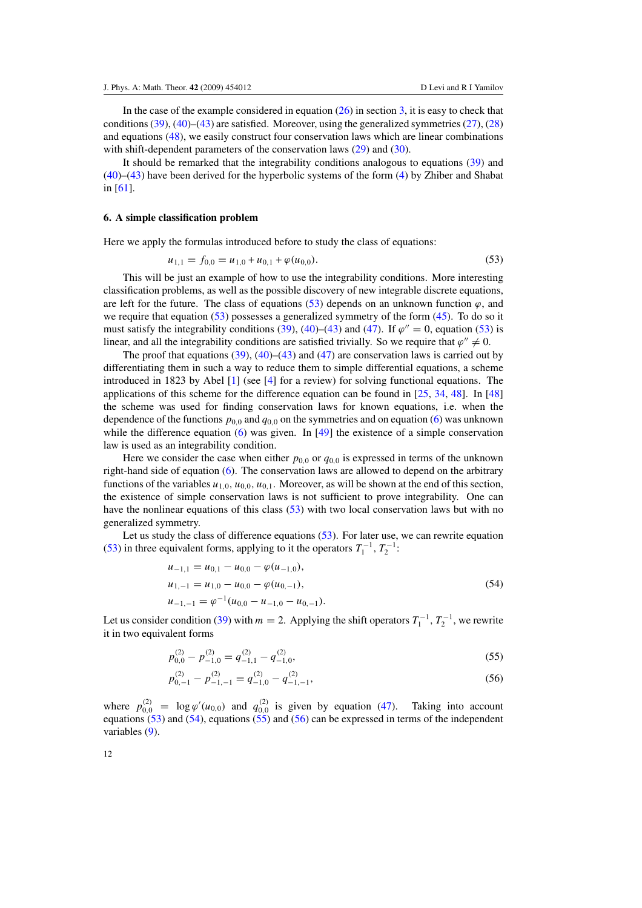<span id="page-11-0"></span>In the case of the example considered in equation  $(26)$  in section [3,](#page-4-0) it is easy to check that conditions  $(39)$ ,  $(40)$ – $(43)$  are satisfied. Moreover, using the generalized symmetries  $(27)$ ,  $(28)$ and equations [\(48\)](#page-10-0), we easily construct four conservation laws which are linear combinations with shift-dependent parameters of the conservation laws [\(29\)](#page-5-0) and [\(30\)](#page-5-0).

It should be remarked that the integrability conditions analogous to equations [\(39\)](#page-8-0) and [\(40\)](#page-8-0)–[\(43\)](#page-8-0) have been derived for the hyperbolic systems of the form [\(4\)](#page-1-0) by Zhiber and Shabat in [\[61](#page-17-0)].

# **6. A simple classification problem**

Here we apply the formulas introduced before to study the class of equations:

$$
u_{1,1} = f_{0,0} = u_{1,0} + u_{0,1} + \varphi(u_{0,0}).
$$
\n(53)

This will be just an example of how to use the integrability conditions. More interesting classification problems, as well as the possible discovery of new integrable discrete equations, are left for the future. The class of equations  $(53)$  depends on an unknown function  $\varphi$ , and we require that equation  $(53)$  possesses a generalized symmetry of the form  $(45)$ . To do so it must satisfy the integrability conditions [\(39\)](#page-8-0), [\(40\)](#page-8-0)–[\(43\)](#page-8-0) and [\(47\)](#page-10-0). If  $\varphi'' = 0$ , equation (53) is linear, and all the integrability conditions are satisfied trivially. So we require that  $\varphi'' \neq 0$ .

The proof that equations  $(39)$ ,  $(40)$ – $(43)$  and  $(47)$  are conservation laws is carried out by differentiating them in such a way to reduce them to simple differential equations, a scheme introduced in 1823 by Abel [\[1](#page-15-0)] (see [\[4\]](#page-15-0) for a review) for solving functional equations. The applications of this scheme for the difference equation can be found in  $[25, 34, 48]$  $[25, 34, 48]$  $[25, 34, 48]$  $[25, 34, 48]$  $[25, 34, 48]$  $[25, 34, 48]$ . In  $[48]$  $[48]$ the scheme was used for finding conservation laws for known equations, i.e. when the dependence of the functions  $p_{0,0}$  and  $q_{0,0}$  on the symmetries and on equation [\(6\)](#page-2-0) was unknown while the difference equation  $(6)$  was given. In [\[49](#page-17-0)] the existence of a simple conservation law is used as an integrability condition.

Here we consider the case when either  $p_{0,0}$  or  $q_{0,0}$  is expressed in terms of the unknown right-hand side of equation [\(6\)](#page-2-0). The conservation laws are allowed to depend on the arbitrary functions of the variables  $u_{1,0}$ ,  $u_{0,0}$ ,  $u_{0,1}$ . Moreover, as will be shown at the end of this section, the existence of simple conservation laws is not sufficient to prove integrability. One can have the nonlinear equations of this class (53) with two local conservation laws but with no generalized symmetry.

Let us study the class of difference equations (53). For later use, we can rewrite equation (53) in three equivalent forms, applying to it the operators  $T_1^{-1}$ ,  $T_2^{-1}$ :

$$
u_{-1,1} = u_{0,1} - u_{0,0} - \varphi(u_{-1,0}),
$$
  
\n
$$
u_{1,-1} = u_{1,0} - u_{0,0} - \varphi(u_{0,-1}),
$$
  
\n
$$
u_{-1,-1} = \varphi^{-1}(u_{0,0} - u_{-1,0} - u_{0,-1}).
$$
\n(54)

Let us consider condition [\(39\)](#page-8-0) with  $m = 2$ . Applying the shift operators  $T_1^{-1}$ ,  $T_2^{-1}$ , we rewrite it in two equivalent forms

$$
p_{0,0}^{(2)} - p_{-1,0}^{(2)} = q_{-1,1}^{(2)} - q_{-1,0}^{(2)},
$$
\n(55)

$$
p_{0,-1}^{(2)} - p_{-1,-1}^{(2)} = q_{-1,0}^{(2)} - q_{-1,-1}^{(2)},
$$
\n(56)

where  $p_{0,0}^{(2)} = \log \varphi'(u_{0,0})$  and  $q_{0,0}^{(2)}$  is given by equation [\(47\)](#page-10-0). Taking into account equations (53) and (54), equations (55) and (56) can be expressed in terms of the independent variables [\(9\)](#page-2-0).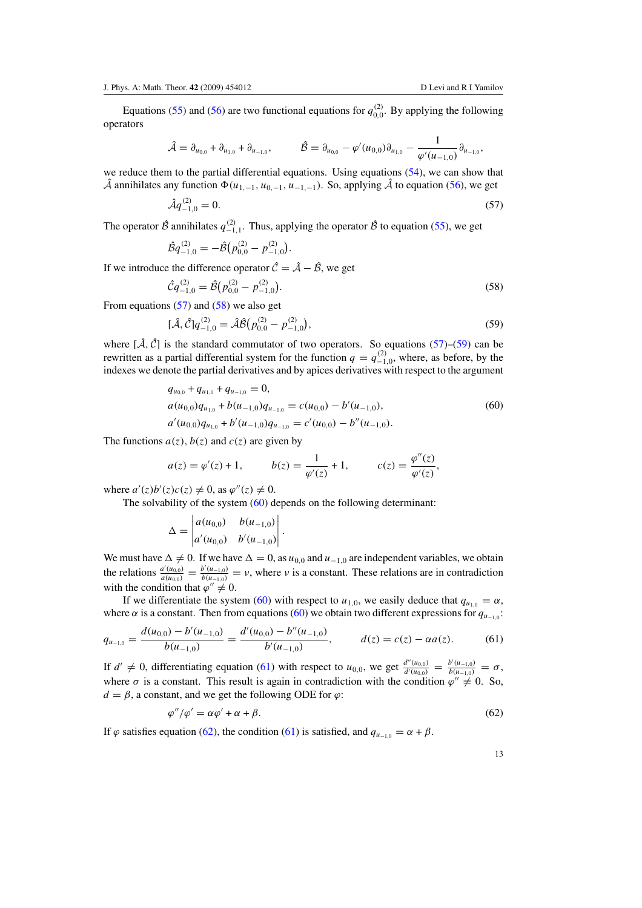<span id="page-12-0"></span>Equations [\(55\)](#page-11-0) and [\(56\)](#page-11-0) are two functional equations for  $q_{0,0}^{(2)}$ . By applying the following operators

$$
\hat{\mathcal{A}} = \partial_{u_{0,0}} + \partial_{u_{1,0}} + \partial_{u_{-1,0}}, \qquad \hat{\mathcal{B}} = \partial_{u_{0,0}} - \varphi'(u_{0,0})\partial_{u_{1,0}} - \frac{1}{\varphi'(u_{-1,0})}\partial_{u_{-1,0}},
$$

we reduce them to the partial differential equations. Using equations [\(54\)](#page-11-0), we can show that  $\hat{\mathcal{A}}$  annihilates any function  $\Phi(u_{1-1}, u_{0-1}, u_{-1-1})$ . So, applying  $\hat{\mathcal{A}}$  to equation [\(56\)](#page-11-0), we get

$$
\hat{\mathcal{A}}q_{-1,0}^{(2)} = 0.\tag{57}
$$

The operator  $\hat{\mathcal{B}}$  annihilates  $q_{-1,1}^{(2)}$ . Thus, applying the operator  $\hat{\mathcal{B}}$  to equation [\(55\)](#page-11-0), we get

$$
\hat{\mathcal{B}}q_{-1,0}^{(2)} = -\hat{\mathcal{B}}(p_{0,0}^{(2)} - p_{-1,0}^{(2)}).
$$

If we introduce the difference operator  $\hat{\mathcal{C}} = \hat{\mathcal{A}} - \hat{\mathcal{B}}$ , we get

$$
\hat{\mathcal{C}}q_{-1,0}^{(2)} = \hat{\mathcal{B}}\big(p_{0,0}^{(2)} - p_{-1,0}^{(2)}\big). \tag{58}
$$

From equations  $(57)$  and  $(58)$  we also get

$$
[\hat{\mathcal{A}}, \hat{\mathcal{C}}]q_{-1,0}^{(2)} = \hat{\mathcal{A}}\hat{\mathcal{B}}(p_{0,0}^{(2)} - p_{-1,0}^{(2)}),
$$
\n(59)

where  $[\hat{A}, \hat{C}]$  is the standard commutator of two operators. So equations (57)–(59) can be rewritten as a partial differential system for the function  $q = q_{-1,0}^{(2)}$ , where, as before, by the indexes we denote the partial derivatives and by apices derivatives with respect to the argument

$$
q_{u_{0,0}} + q_{u_{1,0}} + q_{u_{-1,0}} = 0,
$$
  
\n
$$
a(u_{0,0})q_{u_{1,0}} + b(u_{-1,0})q_{u_{-1,0}} = c(u_{0,0}) - b'(u_{-1,0}),
$$
  
\n
$$
a'(u_{0,0})q_{u_{1,0}} + b'(u_{-1,0})q_{u_{-1,0}} = c'(u_{0,0}) - b''(u_{-1,0}).
$$
\n(60)

The functions  $a(z)$ ,  $b(z)$  and  $c(z)$  are given by

$$
a(z) = \varphi'(z) + 1,
$$
  $b(z) = \frac{1}{\varphi'(z)} + 1,$   $c(z) = \frac{\varphi''(z)}{\varphi'(z)},$ 

where  $a'(z)b'(z)c(z) \neq 0$ , as  $\varphi''(z) \neq 0$ .

The solvability of the system (60) depends on the following determinant:

$$
\Delta = \begin{vmatrix} a(u_{0,0}) & b(u_{-1,0}) \\ a'(u_{0,0}) & b'(u_{-1,0}) \end{vmatrix}.
$$

We must have  $\Delta \neq 0$ . If we have  $\Delta = 0$ , as  $u_{0,0}$  and  $u_{-1,0}$  are independent variables, we obtain the relations  $\frac{a'(u_{0,0})}{a(u_{0,0})} = \frac{b'(u_{-1,0})}{b(u_{-1,0})} = v$ , where v is a constant. These relations are in contradiction with the condition that  $\varphi'' \neq 0$ .

If we differentiate the system (60) with respect to  $u_{1,0}$ , we easily deduce that  $q_{u_{1,0}} = \alpha$ , where  $\alpha$  is a constant. Then from equations (60) we obtain two different expressions for  $q_{u_{-1,0}}$ :

$$
q_{u_{-1,0}} = \frac{d(u_{0,0}) - b'(u_{-1,0})}{b(u_{-1,0})} = \frac{d'(u_{0,0}) - b''(u_{-1,0})}{b'(u_{-1,0})}, \qquad d(z) = c(z) - \alpha a(z). \tag{61}
$$

If  $d' \neq 0$ , differentiating equation (61) with respect to  $u_{0,0}$ , we get  $\frac{d''(u_{0,0})}{d'(u_{0,0})} = \frac{b'(u_{-1,0})}{b(u_{-1,0})} = \sigma$ , where  $\sigma$  is a constant. This result is again in contradiction with the condition  $\varphi'' \neq 0$ . So,  $d = \beta$ , a constant, and we get the following ODE for  $\varphi$ :

$$
\varphi''/\varphi' = \alpha \varphi' + \alpha + \beta. \tag{62}
$$

If  $\varphi$  satisfies equation (62), the condition (61) is satisfied, and  $q_{u_{-1,0}} = \alpha + \beta$ .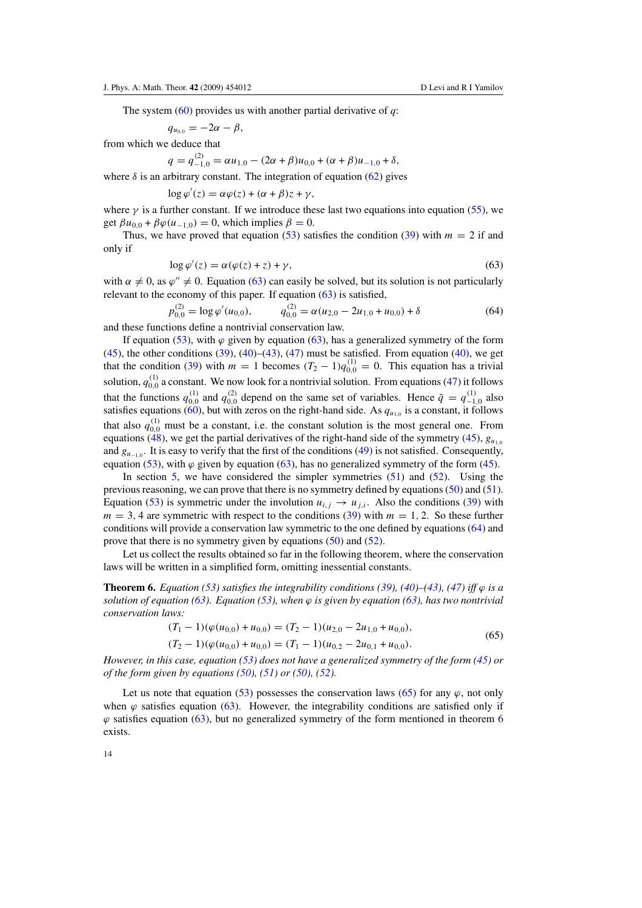The system [\(60\)](#page-12-0) provides us with another partial derivative of *q*:

$$
q_{u_{0,0}}=-2\alpha-\beta,
$$

from which we deduce that

*p(*2*)*

$$
q = q_{-1,0}^{(2)} = \alpha u_{1,0} - (2\alpha + \beta)u_{0,0} + (\alpha + \beta)u_{-1,0} + \delta,
$$

where  $\delta$  is an arbitrary constant. The integration of equation [\(62\)](#page-12-0) gives

$$
\log \varphi'(z) = \alpha \varphi(z) + (\alpha + \beta)z + \gamma,
$$

where  $\gamma$  is a further constant. If we introduce these last two equations into equation [\(55\)](#page-11-0), we get  $\beta u_{0,0} + \beta \varphi(u_{-1,0}) = 0$ , which implies  $\beta = 0$ .

Thus, we have proved that equation [\(53\)](#page-11-0) satisfies the condition [\(39\)](#page-8-0) with  $m = 2$  if and only if

$$
\log \varphi'(z) = \alpha(\varphi(z) + z) + \gamma,\tag{63}
$$

with  $\alpha \neq 0$ , as  $\varphi'' \neq 0$ . Equation (63) can easily be solved, but its solution is not particularly relevant to the economy of this paper. If equation (63) is satisfied,

$$
q_{0,0}^{(2)} = \log \varphi'(u_{0,0}), \qquad q_{0,0}^{(2)} = \alpha (u_{2,0} - 2u_{1,0} + u_{0,0}) + \delta \tag{64}
$$

and these functions define a nontrivial conservation law.

If equation [\(53\)](#page-11-0), with  $\varphi$  given by equation (63), has a generalized symmetry of the form  $(45)$ , the other conditions  $(39)$ ,  $(40)$ – $(43)$ ,  $(47)$  must be satisfied. From equation  $(40)$ , we get that the condition [\(39\)](#page-8-0) with  $m = 1$  becomes  $(T_2 - 1)q_{0,0}^{(1)} = 0$ . This equation has a trivial solution,  $q_{0,0}^{(1)}$  a constant. We now look for a nontrivial solution. From equations [\(47\)](#page-10-0) it follows that the functions  $q_{0,0}^{(1)}$  and  $q_{0,0}^{(2)}$  depend on the same set of variables. Hence  $\tilde{q} = q_{-1,0}^{(1)}$  also satisfies equations [\(60\)](#page-12-0), but with zeros on the right-hand side. As  $q_{u_{1,0}}$  is a constant, it follows that also  $q_{0,0}^{(1)}$  must be a constant, i.e. the constant solution is the most general one. From equations [\(48\)](#page-10-0), we get the partial derivatives of the right-hand side of the symmetry [\(45\)](#page-9-0),  $g_{u_{10}}$ and  $g_{u_{-1,0}}$ . It is easy to verify that the first of the conditions [\(49\)](#page-10-0) is not satisfied. Consequently, equation [\(53\)](#page-11-0), with  $\varphi$  given by equation (63), has no generalized symmetry of the form [\(45\)](#page-9-0).

In section  $5$ , we have considered the simpler symmetries  $(51)$  and  $(52)$ . Using the previous reasoning, we can prove that there is no symmetry defined by equations [\(50\)](#page-10-0) and [\(51\)](#page-10-0). Equation [\(53\)](#page-11-0) is symmetric under the involution  $u_{i,j} \to u_{j,i}$ . Also the conditions [\(39\)](#page-8-0) with  $m = 3, 4$  are symmetric with respect to the conditions [\(39\)](#page-8-0) with  $m = 1, 2$ . So these further conditions will provide a conservation law symmetric to the one defined by equations (64) and prove that there is no symmetry given by equations [\(50\)](#page-10-0) and [\(52\)](#page-10-0).

Let us collect the results obtained so far in the following theorem, where the conservation laws will be written in a simplified form, omitting inessential constants.

**Theorem 6.** *Equation* [\(53\)](#page-11-0) *satisfies the integrability conditions* [\(39\)](#page-8-0), [\(40\)](#page-8-0)–[\(43\)](#page-8-0), [\(47\)](#page-10-0) *iff*  $\varphi$  *is a solution of equation (63). Equation [\(53\)](#page-11-0), when*  $\varphi$  *is given by equation (63), has two nontrivial conservation laws:*

$$
(T_1 - 1)(\varphi(u_{0,0}) + u_{0,0}) = (T_2 - 1)(u_{2,0} - 2u_{1,0} + u_{0,0}),
$$
  
\n
$$
(T_2 - 1)(\varphi(u_{0,0}) + u_{0,0}) = (T_1 - 1)(u_{0,2} - 2u_{0,1} + u_{0,0}).
$$
\n(65)

*However, in this case, equation [\(53\)](#page-11-0) does not have a generalized symmetry of the form [\(45\)](#page-9-0) or of the form given by equations [\(50\)](#page-10-0), [\(51\)](#page-10-0) or [\(50\)](#page-10-0), [\(52\)](#page-10-0).*

Let us note that equation [\(53\)](#page-11-0) possesses the conservation laws (65) for any  $\varphi$ , not only when  $\varphi$  satisfies equation (63). However, the integrability conditions are satisfied only if  $\varphi$  satisfies equation (63), but no generalized symmetry of the form mentioned in theorem 6 exists.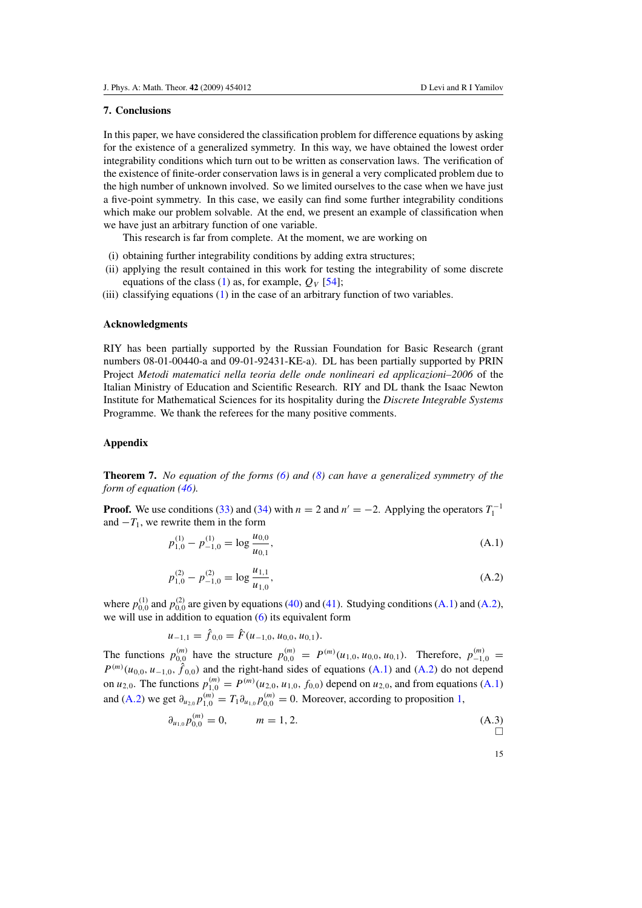#### <span id="page-14-0"></span>**7. Conclusions**

In this paper, we have considered the classification problem for difference equations by asking for the existence of a generalized symmetry. In this way, we have obtained the lowest order integrability conditions which turn out to be written as conservation laws. The verification of the existence of finite-order conservation laws is in general a very complicated problem due to the high number of unknown involved. So we limited ourselves to the case when we have just a five-point symmetry. In this case, we easily can find some further integrability conditions which make our problem solvable. At the end, we present an example of classification when we have just an arbitrary function of one variable.

This research is far from complete. At the moment, we are working on

- (i) obtaining further integrability conditions by adding extra structures;
- (ii) applying the result contained in this work for testing the integrability of some discrete equations of the class [\(1\)](#page-1-0) as, for example,  $O_V$  [\[54](#page-17-0)];
- (iii) classifying equations [\(1\)](#page-1-0) in the case of an arbitrary function of two variables.

# **Acknowledgments**

RIY has been partially supported by the Russian Foundation for Basic Research (grant numbers 08-01-00440-a and 09-01-92431-KE-a). DL has been partially supported by PRIN Project *Metodi matematici nella teoria delle onde nonlineari ed applicazioni–2006* of the Italian Ministry of Education and Scientific Research. RIY and DL thank the Isaac Newton Institute for Mathematical Sciences for its hospitality during the *Discrete Integrable Systems* Programme. We thank the referees for the many positive comments.

## **Appendix**

**Theorem 7.** *No equation of the forms [\(6\)](#page-2-0) and [\(8\)](#page-2-0) can have a generalized symmetry of the form of equation [\(46\)](#page-9-0).*

**Proof.** We use conditions [\(33\)](#page-6-0) and [\(34\)](#page-6-0) with  $n = 2$  and  $n' = -2$ . Applying the operators  $T_1^{-1}$ and  $-T_1$ , we rewrite them in the form

$$
p_{1,0}^{(1)} - p_{-1,0}^{(1)} = \log \frac{u_{0,0}}{u_{0,1}},
$$
\n(A.1)

$$
p_{1,0}^{(2)} - p_{-1,0}^{(2)} = \log \frac{u_{1,1}}{u_{1,0}},
$$
\n(A.2)

where  $p_{0,0}^{(1)}$  and  $p_{0,0}^{(2)}$  are given by equations [\(40\)](#page-8-0) and [\(41\)](#page-8-0). Studying conditions (A.1) and (A.2), we will use in addition to equation [\(6\)](#page-2-0) its equivalent form

$$
u_{-1,1} = \hat{f}_{0,0} = \hat{F}(u_{-1,0}, u_{0,0}, u_{0,1}).
$$

The functions  $p_{0,0}^{(m)}$  have the structure  $p_{0,0}^{(m)} = P^{(m)}(u_{1,0}, u_{0,0}, u_{0,1})$ . Therefore,  $p_{-1,0}^{(m)} =$  $P^{(m)}(u_{0,0}, u_{-1,0}, \hat{f}_{0,0})$  and the right-hand sides of equations (A.1) and (A.2) do not depend on  $u_{2,0}$ . The functions  $p_{1,0}^{(m)} = P^{(m)}(u_{2,0}, u_{1,0}, f_{0,0})$  depend on  $u_{2,0}$ , and from equations (A.1) and (A.2) we get  $\partial_{u_{2,0}} p_{1,0}^{(m)} = T_1 \partial_{u_{1,0}} p_{0,0}^{(m)} = 0$  $\partial_{u_{2,0}} p_{1,0}^{(m)} = T_1 \partial_{u_{1,0}} p_{0,0}^{(m)} = 0$  $\partial_{u_{2,0}} p_{1,0}^{(m)} = T_1 \partial_{u_{1,0}} p_{0,0}^{(m)} = 0$ . Moreover, according to proposition 1,

$$
\partial_{u_{1,0}} p_{0,0}^{(m)} = 0, \qquad m = 1, 2. \tag{A.3}
$$

$$
\overline{a}
$$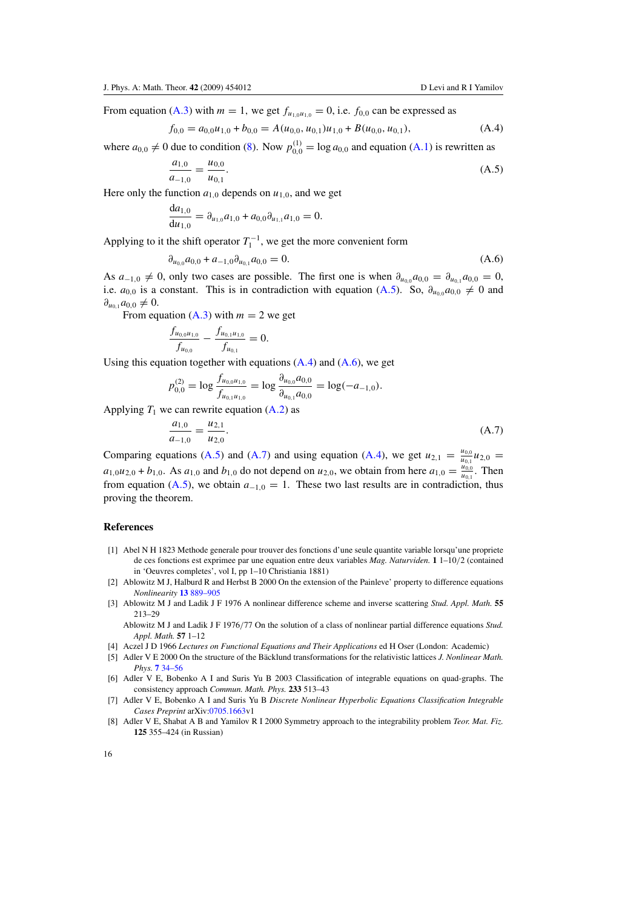<span id="page-15-0"></span>From equation [\(A](#page-14-0).3) with  $m = 1$ , we get  $f_{u_{1,0}u_{1,0}} = 0$ , i.e.  $f_{0,0}$  can be expressed as

 $f_{0,0} = a_{0,0}u_{1,0} + b_{0,0} = A(u_{0,0}, u_{0,1})u_{1,0} + B(u_{0,0}, u_{0,1}),$  (A.4)

where  $a_{0,0} \neq 0$  due to condition [\(8\)](#page-2-0). Now  $p_{0,0}^{(1)} = \log a_{0,0}$  and equation [\(A](#page-14-0).1) is rewritten as

$$
\frac{a_{1,0}}{a_{-1,0}} = \frac{u_{0,0}}{u_{0,1}}.\tag{A.5}
$$

Here only the function  $a_{1,0}$  depends on  $u_{1,0}$ , and we get

$$
\frac{da_{1,0}}{du_{1,0}} = \partial_{u_{1,0}} a_{1,0} + a_{0,0} \partial_{u_{1,1}} a_{1,0} = 0.
$$

Applying to it the shift operator  $T_1^{-1}$ , we get the more convenient form

$$
\partial_{u_{0,0}} a_{0,0} + a_{-1,0} \partial_{u_{0,1}} a_{0,0} = 0. \tag{A.6}
$$

As  $a_{-1,0} \neq 0$ , only two cases are possible. The first one is when  $\partial_{u_{0,0}} a_{0,0} = \partial_{u_{0,1}} a_{0,0} = 0$ , i.e.  $a_{0,0}$  is a constant. This is in contradiction with equation (A.5). So,  $\partial_{u_{0,0}}a_{0,0} \neq 0$  and  $\partial_{u_{0,1}} a_{0,0} \neq 0.$ 

From equation  $(A.3)$  $(A.3)$  with  $m = 2$  we get

$$
\frac{f_{u_{0,0}u_{1,0}}}{f_{u_{0,0}}} - \frac{f_{u_{0,1}u_{1,0}}}{f_{u_{0,1}}} = 0.
$$

Using this equation together with equations (A*.*4) and (A*.*6), we get

$$
p_{0,0}^{(2)} = \log \frac{f_{u_{0,0}u_{1,0}}}{f_{u_{0,1}u_{1,0}}} = \log \frac{\partial_{u_{0,0}} a_{0,0}}{\partial_{u_{0,1}} a_{0,0}} = \log(-a_{-1,0}).
$$

Applying  $T_1$  we can rewrite equation  $(A.2)$  $(A.2)$  as

$$
\frac{a_{1,0}}{a_{-1,0}} = \frac{u_{2,1}}{u_{2,0}}.\tag{A.7}
$$

Comparing equations (A.5) and (A.7) and using equation (A.4), we get  $u_{2,1} = \frac{u_{0,0}}{u_{0,1}} u_{2,0}$  $a_{1,0}u_{2,0} + b_{1,0}$ . As  $a_{1,0}$  and  $b_{1,0}$  do not depend on  $u_{2,0}$ , we obtain from here  $a_{1,0} = \frac{u_{0,0}^{2}}{u_{0,1}}$ . Then from equation (A.5), we obtain  $a_{-1,0} = 1$ . These two last results are in contradiction, thus proving the theorem.

# **References**

- [1] Abel N H 1823 Methode generale pour trouver des fonctions d'une seule quantite variable lorsqu'une propriete de ces fonctions est exprimee par une equation entre deux variables *Mag. Naturviden.* **1** 1–10*/*2 (contained in 'Oeuvres completes', vol I, pp 1–10 Christiania 1881)
- [2] Ablowitz M J, Halburd R and Herbst B 2000 On the extension of the Painleve' property to difference equations *Nonlinearity* **13** [889–905](http://dx.doi.org/10.1088/0951-7715/13/3/321)
- [3] Ablowitz M J and Ladik J F 1976 A nonlinear difference scheme and inverse scattering *Stud. Appl. Math.* **55** 213–29
	- Ablowitz M J and Ladik J F 1976*/*77 On the solution of a class of nonlinear partial difference equations *Stud. Appl. Math.* **57** 1–12
- [4] Aczel J D 1966 *Lectures on Functional Equations and Their Applications* ed H Oser (London: Academic)
- [5] Adler V E 2000 On the structure of the Bäcklund transformations for the relativistic lattices *J. Nonlinear Math. Phys.* **7** [34–56](http://dx.doi.org/10.2991/jnmp.2000.7.1.4)
- [6] Adler V E, Bobenko A I and Suris Yu B 2003 Classification of integrable equations on quad-graphs. The consistency approach *Commun. Math. Phys.* **233** 513–43
- [7] Adler V E, Bobenko A I and Suris Yu B *Discrete Nonlinear Hyperbolic Equations Classification Integrable Cases Preprint* arXiv[:0705.1663v](http://www.arxiv.org/abs/0705.1663)1
- [8] Adler V E, Shabat A B and Yamilov R I 2000 Symmetry approach to the integrability problem *Teor. Mat. Fiz.* **125** 355–424 (in Russian)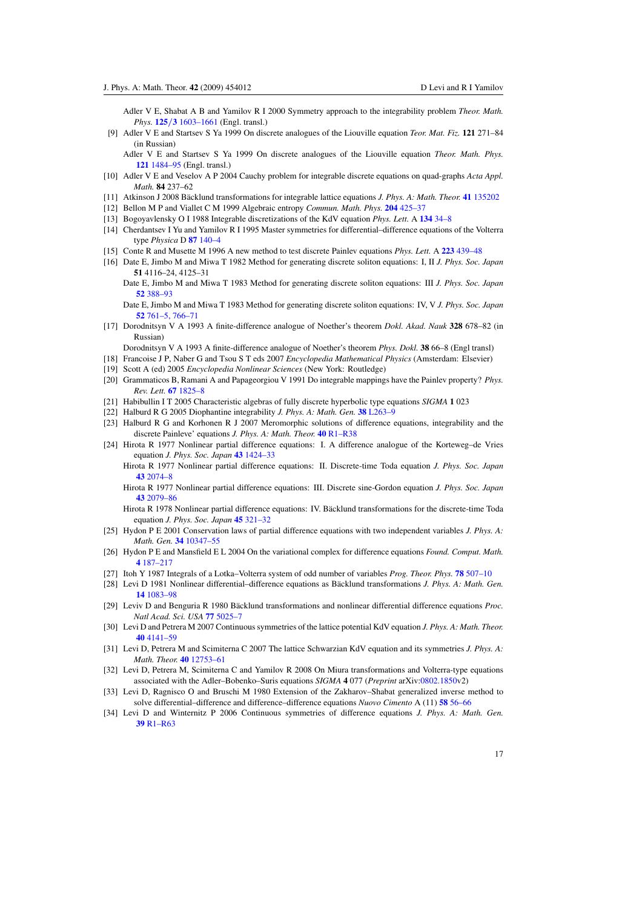- <span id="page-16-0"></span>Adler V E, Shabat A B and Yamilov R I 2000 Symmetry approach to the integrability problem *Theor. Math. Phys.* **125***/***3** [1603–1661](http://dx.doi.org/10.1023/A:1026602012111) (Engl. transl.)
- [9] Adler V E and Startsev S Ya 1999 On discrete analogues of the Liouville equation *Teor. Mat. Fiz.* **121** 271–84 (in Russian)
	- Adler V E and Startsev S Ya 1999 On discrete analogues of the Liouville equation *Theor. Math. Phys.* **121** [1484–95](http://dx.doi.org/10.1007/BF02557219) (Engl. transl.)
- [10] Adler V E and Veselov A P 2004 Cauchy problem for integrable discrete equations on quad-graphs *Acta Appl. Math.* **84** 237–62
- [11] Atkinson J 2008 Bäcklund transformations for integrable lattice equations *J. Phys. A: Math. Theor.* 41 [135202](http://dx.doi.org/10.1088/1751-8113/41/13/135202)
- [12] Bellon M P and Viallet C M 1999 Algebraic entropy *Commun. Math. Phys.* **204** [425–37](http://dx.doi.org/10.1007/s002200050652)
- [13] Bogoyavlensky O I 1988 Integrable discretizations of the KdV equation *Phys. Lett.* A **134** [34–8](http://dx.doi.org/10.1016/0375-9601(88)90542-7)
- [14] Cherdantsev I Yu and Yamilov R I 1995 Master symmetries for differential–difference equations of the Volterra type *Physica* D **87** [140–4](http://dx.doi.org/10.1016/0167-2789(95)00167-3)
- [15] Conte R and Musette M 1996 A new method to test discrete Painlev equations *Phys. Lett.* A **223** [439–48](http://dx.doi.org/10.1016/S0375-9601(96)00783-9)
- [16] Date E, Jimbo M and Miwa T 1982 Method for generating discrete soliton equations: I, II *J. Phys. Soc. Japan* **51** 4116–24, 4125–31
	- Date E, Jimbo M and Miwa T 1983 Method for generating discrete soliton equations: III *J. Phys. Soc. Japan* **52** [388–93](http://dx.doi.org/10.1143/JPSJ.52.388)

Date E, Jimbo M and Miwa T 1983 Method for generating discrete soliton equations: IV, V *J. Phys. Soc. Japan* **52** [761–5, 766–71](http://dx.doi.org/10.1143/JPSJ.52.761)

[17] Dorodnitsyn V A 1993 A finite-difference analogue of Noether's theorem *Dokl. Akad. Nauk* **328** 678–82 (in Russian)

Dorodnitsyn V A 1993 A finite-difference analogue of Noether's theorem *Phys. Dokl.* **38** 66–8 (Engl transl)

- [18] Francoise J P, Naber G and Tsou S T eds 2007 *Encyclopedia Mathematical Physics* (Amsterdam: Elsevier)
- [19] Scott A (ed) 2005 *Encyclopedia Nonlinear Sciences* (New York: Routledge)
- [20] Grammaticos B, Ramani A and Papageorgiou V 1991 Do integrable mappings have the Painlev property? *Phys. Rev. Lett.* **67** [1825–8](http://dx.doi.org/10.1103/PhysRevLett.67.1825)
- [21] Habibullin I T 2005 Characteristic algebras of fully discrete hyperbolic type equations *SIGMA* **1** 023
- [22] Halburd R G 2005 Diophantine integrability *J. Phys. A: Math. Gen.* **38** [L263–9](http://dx.doi.org/10.1088/0305-4470/38/16/L01)
- [23] Halburd R G and Korhonen R J 2007 Meromorphic solutions of difference equations, integrability and the discrete Painleve' equations *J. Phys. A: Math. Theor.* **40** [R1–R38](http://dx.doi.org/10.1088/1751-8113/40/6/R01)
- [24] Hirota R 1977 Nonlinear partial difference equations: I. A difference analogue of the Korteweg–de Vries equation *J. Phys. Soc. Japan* **43** [1424–33](http://dx.doi.org/10.1143/JPSJ.43.1424)

Hirota R 1977 Nonlinear partial difference equations: II. Discrete-time Toda equation *J. Phys. Soc. Japan* **43** [2074–8](http://dx.doi.org/10.1143/JPSJ.43.2074)

Hirota R 1977 Nonlinear partial difference equations: III. Discrete sine-Gordon equation *J. Phys. Soc. Japan* **43** [2079–86](http://dx.doi.org/10.1143/JPSJ.43.2079)

- Hirota R 1978 Nonlinear partial difference equations: IV. Bäcklund transformations for the discrete-time Toda equation *J. Phys. Soc. Japan* **45** [321–32](http://dx.doi.org/10.1143/JPSJ.45.321)
- [25] Hydon P E 2001 Conservation laws of partial difference equations with two independent variables *J. Phys. A: Math. Gen.* **34** [10347–55](http://dx.doi.org/10.1088/0305-4470/34/48/301)
- [26] Hydon P E and Mansfield E L 2004 On the variational complex for difference equations *Found. Comput. Math.* **4** [187–217](http://dx.doi.org/10.1007/s10208-002-0071-9)
- [27] Itoh Y 1987 Integrals of a Lotka–Volterra system of odd number of variables *Prog. Theor. Phys.* **78** [507–10](http://dx.doi.org/10.1143/PTP.78.507)
- [28] Levi D 1981 Nonlinear differential–difference equations as Bäcklund transformations *J. Phys. A: Math. Gen.* **14** [1083–98](http://dx.doi.org/10.1088/0305-4470/14/5/028)
- [29] Leviv D and Benguria R 1980 Bäcklund transformations and nonlinear differential difference equations *Proc. Natl Acad. Sci. USA* **77** [5025–7](http://dx.doi.org/10.1073/pnas.77.9.5025)
- [30] Levi D and Petrera M 2007 Continuous symmetries of the lattice potential KdV equation *J. Phys. A: Math. Theor.* **40** [4141–59](http://dx.doi.org/10.1088/1751-8113/40/15/006)
- [31] Levi D, Petrera M and Scimiterna C 2007 The lattice Schwarzian KdV equation and its symmetries *J. Phys. A: Math. Theor.* **40** [12753–61](http://dx.doi.org/10.1088/1751-8113/40/42/S18)
- [32] Levi D, Petrera M, Scimiterna C and Yamilov R 2008 On Miura transformations and Volterra-type equations associated with the Adler–Bobenko–Suris equations *SIGMA* **4** 077 (*Preprint* arXiv[:0802.1850v](http://www.arxiv.org/abs/0802.1850)2)
- [33] Levi D, Ragnisco O and Bruschi M 1980 Extension of the Zakharov–Shabat generalized inverse method to solve differential–difference and difference–difference equations *Nuovo Cimento* A (11) **58** [56–66](http://dx.doi.org/10.1007/BF02730220)
- [34] Levi D and Winternitz P 2006 Continuous symmetries of difference equations *J. Phys. A: Math. Gen.* **39** [R1–R63](http://dx.doi.org/10.1088/0305-4470/39/2/R01)